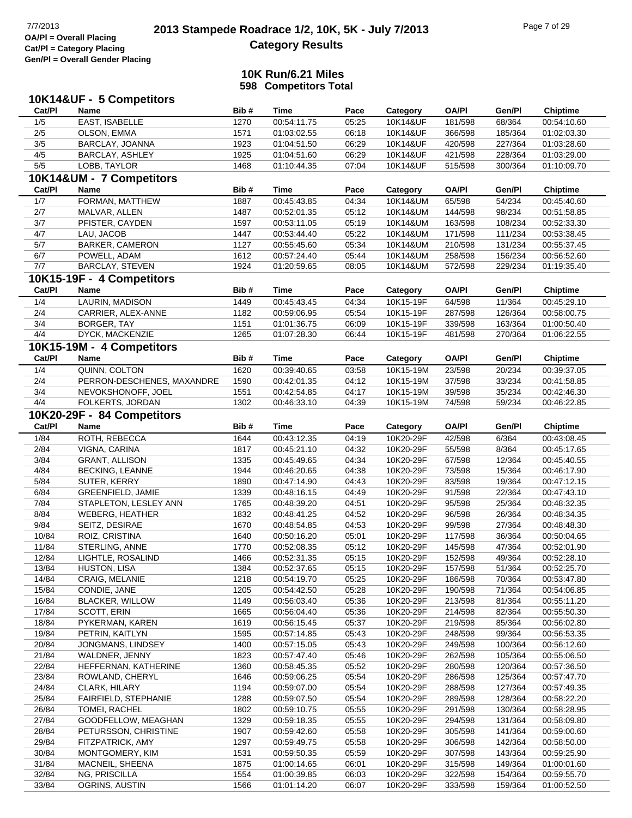### **10K Run/6.21 Miles 598 Competitors Total**

|                | 10K14&UF - 5 Competitors       |              |                            |                |                        |                    |                  |                            |
|----------------|--------------------------------|--------------|----------------------------|----------------|------------------------|--------------------|------------------|----------------------------|
| Cat/PI         | Name                           | Bib#         | <b>Time</b>                | Pace           | Category               | <b>OA/PI</b>       | Gen/Pl           | <b>Chiptime</b>            |
| 1/5            | EAST, ISABELLE                 | 1270         | 00:54:11.75                | 05:25          | 10K14&UF               | 181/598            | 68/364           | 00:54:10.60                |
| 2/5            | OLSON, EMMA                    | 1571         | 01:03:02.55                | 06:18          | 10K14&UF               | 366/598            | 185/364          | 01:02:03.30                |
| $3/5$          | BARCLAY, JOANNA                | 1923         | 01:04:51.50                | 06:29          | 10K14&UF               | 420/598            | 227/364          | 01:03:28.60                |
| 4/5            | BARCLAY, ASHLEY                | 1925         | 01:04:51.60                | 06:29          | 10K14&UF               | 421/598            | 228/364          | 01:03:29.00                |
| $5/5$          | LOBB, TAYLOR                   | 1468         | 01:10:44.35                | 07:04          | 10K14&UF               | 515/598            | 300/364          | 01:10:09.70                |
|                | 10K14&UM - 7 Competitors       |              |                            |                |                        |                    |                  |                            |
| Cat/PI         | Name                           | Bib#         | <b>Time</b>                | Pace           | Category               | <b>OA/PI</b>       | Gen/Pl           | <b>Chiptime</b>            |
| 1/7            | FORMAN, MATTHEW                | 1887         | 00:45:43.85                | 04:34          | 10K14&UM               | 65/598             | 54/234           | 00:45:40.60                |
| 2/7            | MALVAR, ALLEN                  | 1487         | 00:52:01.35                | 05:12          | 10K14&UM               | 144/598            | 98/234           | 00:51:58.85                |
| $3/7$          | PFISTER, CAYDEN                | 1597         | 00:53:11.05                | 05:19          | 10K14&UM               | 163/598            | 108/234          | 00:52:33.30                |
| 4/7            | LAU, JACOB                     | 1447         | 00:53:44.40                | 05:22          | 10K14&UM               | 171/598            | 111/234          | 00:53:38.45                |
| $5/7$          | <b>BARKER, CAMERON</b>         | 1127         | 00:55:45.60                | 05:34          | 10K14&UM               | 210/598            | 131/234          | 00:55:37.45                |
| 6/7            | POWELL, ADAM                   | 1612         | 00:57:24.40                | 05:44          | 10K14&UM               | 258/598            | 156/234          | 00:56:52.60                |
| 7/7            | BARCLAY, STEVEN                | 1924         | 01:20:59.65                | 08:05          | 10K14&UM               | 572/598            | 229/234          | 01:19:35.40                |
|                | 10K15-19F - 4 Competitors      |              |                            |                |                        |                    |                  |                            |
| Cat/PI         | Name                           | Bib#         | <b>Time</b>                | Pace           | Category               | <b>OA/PI</b>       | Gen/Pl           | Chiptime                   |
| 1/4            | LAURIN, MADISON                | 1449         | 00:45:43.45                | 04:34          | 10K15-19F              | 64/598             | 11/364           | 00:45:29.10                |
| 2/4            | CARRIER, ALEX-ANNE             | 1182         | 00:59:06.95                | 05:54          | 10K15-19F              | 287/598            | 126/364          | 00:58:00.75                |
| 3/4            | BORGER, TAY                    | 1151         | 01:01:36.75                | 06:09          | 10K15-19F              | 339/598            | 163/364          | 01:00:50.40                |
| 4/4            | DYCK, MACKENZIE                | 1265         | 01:07:28.30                | 06:44          | 10K15-19F              | 481/598            | 270/364          | 01:06:22.55                |
|                | 10K15-19M - 4 Competitors      |              |                            |                |                        |                    |                  |                            |
| Cat/PI         | Name                           | Bib#         | <b>Time</b>                | Pace           | Category               | <b>OA/PI</b>       | Gen/Pl           | <b>Chiptime</b>            |
| 1/4            | QUINN, COLTON                  | 1620         | 00:39:40.65                | 03:58          | 10K15-19M              | 23/598             | 20/234           | 00:39:37.05                |
| 2/4            | PERRON-DESCHENES, MAXANDRE     | 1590         | 00:42:01.35                | 04:12          | 10K15-19M              | 37/598             | 33/234           | 00:41:58.85                |
| 3/4            | NEVOKSHONOFF, JOEL             | 1551         | 00:42:54.85                | 04:17          | 10K15-19M              | 39/598             | 35/234           | 00:42:46.30                |
| 4/4            | FOLKERTS, JORDAN               | 1302         | 00:46:33.10                | 04:39          | 10K15-19M              | 74/598             | 59/234           | 00:46:22.85                |
|                | 10K20-29F - 84 Competitors     |              |                            |                |                        |                    |                  |                            |
| Cat/PI         | Name                           | Bib#         | <b>Time</b>                | Pace           | Category               | <b>OA/PI</b>       | Gen/Pl           | <b>Chiptime</b>            |
| 1/84           | ROTH, REBECCA                  | 1644         | 00:43:12.35                | 04:19          | 10K20-29F              | 42/598             | 6/364            | 00:43:08.45                |
| 2/84           | VIGNA, CARINA                  | 1817         | 00:45:21.10                | 04:32          | 10K20-29F              | 55/598             | 8/364            | 00:45:17.65                |
| 3/84           | <b>GRANT, ALLISON</b>          | 1335         | 00:45:49.65                | 04:34          | 10K20-29F              | 67/598             | 12/364           | 00:45:40.55                |
| 4/84           | <b>BECKING, LEANNE</b>         | 1944         | 00:46:20.65                | 04:38          | 10K20-29F              | 73/598             | 15/364           | 00:46:17.90                |
| 5/84           | SUTER, KERRY                   | 1890         | 00:47:14.90                | 04:43          | 10K20-29F              | 83/598             | 19/364           | 00:47:12.15                |
| 6/84           | GREENFIELD, JAMIE              | 1339         | 00:48:16.15                | 04:49          | 10K20-29F              | 91/598             | 22/364           | 00:47:43.10                |
| 7/84           | STAPLETON, LESLEY ANN          | 1765         | 00:48:39.20                | 04:51          | 10K20-29F              | 95/598             | 25/364           | 00:48:32.35                |
| 8/84           | <b>WEBERG, HEATHER</b>         | 1832         | 00:48:41.25                | 04:52          | 10K20-29F              | 96/598             | 26/364           | 00:48:34.35                |
| 9/84           | SEITZ, DESIRAE                 | 1670         | 00:48:54.85                | 04:53          | 10K20-29F              | 99/598             | 27/364           | 00:48:48.30                |
| 10/84          | ROIZ, CRISTINA                 | 1640         | 00:50:16.20                | 05:01          | 10K20-29F              | 117/598            | 36/364           | 00:50:04.65                |
| 11/84          | STERLING, ANNE                 | 1770         | 00:52:08.35                | 05:12          | 10K20-29F              | 145/598            | 47/364           | 00:52:01.90                |
| 12/84          | LIGHTLE, ROSALIND              | 1466         | 00:52:31.35                | 05:15          | 10K20-29F              | 152/598            | 49/364           | 00:52:28.10                |
| 13/84          | HUSTON, LISA                   | 1384         | 00:52:37.65                | 05:15          | 10K20-29F              | 157/598            | 51/364           | 00:52:25.70                |
| 14/84<br>15/84 | CRAIG, MELANIE<br>CONDIE, JANE | 1218<br>1205 | 00:54:19.70<br>00:54:42.50 | 05:25<br>05:28 | 10K20-29F<br>10K20-29F | 186/598<br>190/598 | 70/364<br>71/364 | 00:53:47.80<br>00:54:06.85 |
| 16/84          | <b>BLACKER, WILLOW</b>         | 1149         | 00:56:03.40                | 05:36          | 10K20-29F              | 213/598            | 81/364           | 00:55:11.20                |
| 17/84          | SCOTT, ERIN                    | 1665         | 00:56:04.40                | 05:36          | 10K20-29F              | 214/598            | 82/364           | 00:55:50.30                |
| 18/84          | PYKERMAN, KAREN                | 1619         | 00:56:15.45                | 05:37          | 10K20-29F              | 219/598            | 85/364           | 00:56:02.80                |
| 19/84          | PETRIN, KAITLYN                | 1595         | 00:57:14.85                | 05:43          | 10K20-29F              | 248/598            | 99/364           | 00:56:53.35                |
| 20/84          | JONGMANS, LINDSEY              | 1400         | 00:57:15.05                | 05:43          | 10K20-29F              | 249/598            | 100/364          | 00:56:12.60                |
| 21/84          | WALDNER, JENNY                 | 1823         | 00:57:47.40                | 05:46          | 10K20-29F              | 262/598            | 105/364          | 00:55:06.50                |
| 22/84          | HEFFERNAN, KATHERINE           | 1360         | 00:58:45.35                | 05:52          | 10K20-29F              | 280/598            | 120/364          | 00:57:36.50                |
| 23/84          | ROWLAND, CHERYL                | 1646         | 00:59:06.25                | 05:54          | 10K20-29F              | 286/598            | 125/364          | 00:57:47.70                |
| 24/84          | CLARK, HILARY                  | 1194         | 00:59:07.00                | 05:54          | 10K20-29F              | 288/598            | 127/364          | 00:57:49.35                |
| 25/84          | FAIRFIELD, STEPHANIE           | 1288         | 00:59:07.50                | 05:54          | 10K20-29F              | 289/598            | 128/364          | 00:58:22.20                |
| 26/84          | TOMEI, RACHEL                  | 1802         | 00:59:10.75                | 05:55          | 10K20-29F              | 291/598            | 130/364          | 00:58:28.95                |
| 27/84          | GOODFELLOW, MEAGHAN            | 1329         | 00:59:18.35                | 05:55          | 10K20-29F              | 294/598            | 131/364          | 00:58:09.80                |
| 28/84          | PETURSSON, CHRISTINE           | 1907         | 00:59:42.60                | 05:58          | 10K20-29F              | 305/598            | 141/364          | 00:59:00.60                |
| 29/84          | FITZPATRICK, AMY               | 1297         | 00:59:49.75                | 05:58          | 10K20-29F              | 306/598            | 142/364          | 00:58:50.00                |
| 30/84          | MONTGOMERY, KIM                | 1531         | 00:59:50.35                | 05:59          | 10K20-29F              | 307/598            | 143/364          | 00:59:25.90                |
| 31/84          | MACNEIL, SHEENA                | 1875         | 01:00:14.65                | 06:01          | 10K20-29F              | 315/598            | 149/364          | 01:00:01.60                |
| 32/84          | NG, PRISCILLA                  | 1554         | 01:00:39.85                | 06:03          | 10K20-29F              | 322/598            | 154/364          | 00:59:55.70                |
| 33/84          | OGRINS, AUSTIN                 | 1566         | 01:01:14.20                | 06:07          | 10K20-29F              | 333/598            | 159/364          | 01:00:52.50                |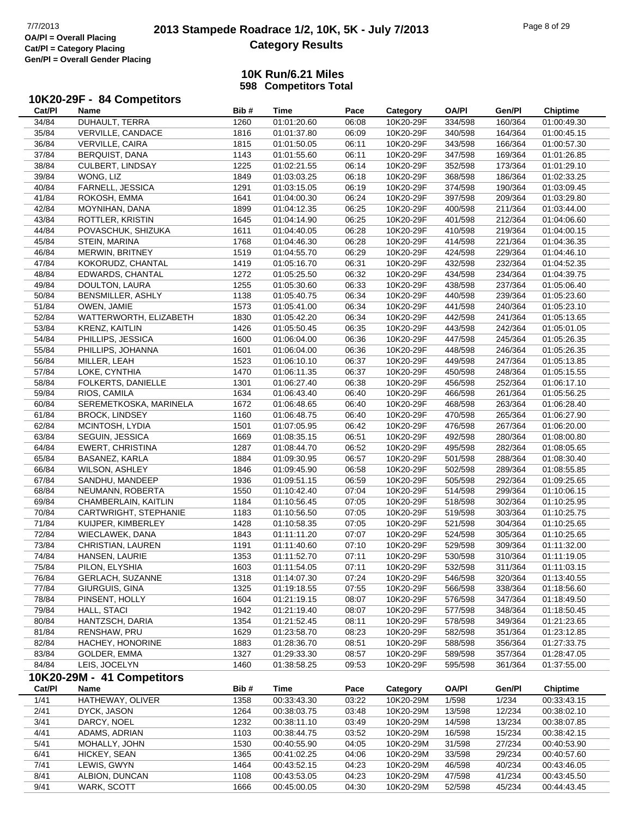# **2013 Stampede Roadrace 1/2, 10K, 5K - July 7/2013** Page 8 of 29 Page 8 of 29 **Category Results**

### **10K Run/6.21 Miles 598 Competitors Total**

#### **10K20-29F - 84 Competitors**

| Cat/PI | Name                       | Bib# | Time        | Pace  | Category  | <b>OA/PI</b> | Gen/Pl  | <b>Chiptime</b> |
|--------|----------------------------|------|-------------|-------|-----------|--------------|---------|-----------------|
| 34/84  | DUHAULT, TERRA             | 1260 | 01:01:20.60 | 06:08 | 10K20-29F | 334/598      | 160/364 | 01:00:49.30     |
| 35/84  | VERVILLE, CANDACE          | 1816 | 01:01:37.80 | 06:09 | 10K20-29F | 340/598      | 164/364 | 01:00:45.15     |
| 36/84  | VERVILLE, CAIRA            | 1815 | 01:01:50.05 | 06:11 | 10K20-29F | 343/598      | 166/364 | 01:00:57.30     |
| 37/84  | BERQUIST, DANA             | 1143 | 01:01:55.60 | 06:11 | 10K20-29F | 347/598      | 169/364 | 01:01:26.85     |
| 38/84  | CULBERT, LINDSAY           | 1225 | 01:02:21.55 | 06:14 | 10K20-29F | 352/598      | 173/364 | 01:01:29.10     |
| 39/84  | WONG, LIZ                  | 1849 | 01:03:03.25 | 06:18 | 10K20-29F | 368/598      | 186/364 | 01:02:33.25     |
| 40/84  | FARNELL, JESSICA           | 1291 | 01:03:15.05 | 06:19 | 10K20-29F | 374/598      | 190/364 | 01:03:09.45     |
| 41/84  | ROKOSH, EMMA               | 1641 | 01:04:00.30 | 06:24 | 10K20-29F | 397/598      | 209/364 | 01:03:29.80     |
| 42/84  | MOYNIHAN, DANA             | 1899 | 01:04:12.35 | 06:25 | 10K20-29F | 400/598      | 211/364 | 01:03:44.00     |
| 43/84  | ROTTLER, KRISTIN           | 1645 | 01:04:14.90 | 06:25 | 10K20-29F | 401/598      | 212/364 | 01:04:06.60     |
| 44/84  | POVASCHUK, SHIZUKA         | 1611 | 01:04:40.05 | 06:28 | 10K20-29F | 410/598      | 219/364 | 01:04:00.15     |
| 45/84  | STEIN, MARINA              | 1768 | 01:04:46.30 | 06:28 | 10K20-29F | 414/598      | 221/364 | 01:04:36.35     |
| 46/84  | MERWIN, BRITNEY            | 1519 | 01:04:55.70 | 06:29 | 10K20-29F | 424/598      | 229/364 | 01:04:46.10     |
| 47/84  | KOKORUDZ, CHANTAL          | 1419 | 01:05:16.70 | 06:31 | 10K20-29F | 432/598      | 232/364 | 01:04:52.35     |
| 48/84  | EDWARDS, CHANTAL           | 1272 | 01:05:25.50 | 06:32 | 10K20-29F | 434/598      | 234/364 | 01:04:39.75     |
| 49/84  | DOULTON, LAURA             | 1255 | 01:05:30.60 | 06:33 | 10K20-29F | 438/598      | 237/364 | 01:05:06.40     |
| 50/84  | BENSMILLER, ASHLY          | 1138 | 01:05:40.75 | 06:34 | 10K20-29F | 440/598      | 239/364 | 01:05:23.60     |
| 51/84  | OWEN, JAMIE                | 1573 | 01:05:41.00 | 06:34 | 10K20-29F | 441/598      | 240/364 | 01:05:23.10     |
| 52/84  | WATTERWORTH, ELIZABETH     | 1830 | 01:05:42.20 | 06:34 | 10K20-29F | 442/598      | 241/364 | 01:05:13.65     |
| 53/84  | KRENZ, KAITLIN             | 1426 | 01:05:50.45 | 06:35 | 10K20-29F | 443/598      | 242/364 | 01:05:01.05     |
| 54/84  | PHILLIPS, JESSICA          | 1600 | 01:06:04.00 | 06:36 | 10K20-29F | 447/598      | 245/364 | 01:05:26.35     |
| 55/84  | PHILLIPS, JOHANNA          | 1601 | 01:06:04.00 | 06:36 | 10K20-29F | 448/598      | 246/364 | 01:05:26.35     |
| 56/84  | MILLER, LEAH               | 1523 | 01:06:10.10 | 06:37 | 10K20-29F | 449/598      | 247/364 | 01:05:13.85     |
| 57/84  | LOKE, CYNTHIA              | 1470 | 01:06:11.35 | 06:37 | 10K20-29F | 450/598      | 248/364 | 01:05:15.55     |
| 58/84  | FOLKERTS, DANIELLE         | 1301 | 01:06:27.40 | 06:38 | 10K20-29F | 456/598      | 252/364 | 01:06:17.10     |
| 59/84  | RIOS, CAMILA               | 1634 | 01:06:43.40 | 06:40 | 10K20-29F | 466/598      | 261/364 | 01:05:56.25     |
| 60/84  | SEREMETKOSKA, MARINELA     | 1672 | 01:06:48.65 | 06:40 | 10K20-29F | 468/598      | 263/364 | 01:06:28.40     |
| 61/84  | <b>BROCK, LINDSEY</b>      | 1160 | 01:06:48.75 | 06:40 | 10K20-29F | 470/598      | 265/364 | 01:06:27.90     |
| 62/84  | MCINTOSH, LYDIA            | 1501 | 01:07:05.95 | 06:42 | 10K20-29F | 476/598      | 267/364 | 01:06:20.00     |
| 63/84  | SEGUIN, JESSICA            | 1669 | 01:08:35.15 | 06:51 | 10K20-29F | 492/598      | 280/364 | 01:08:00.80     |
| 64/84  | <b>EWERT, CHRISTINA</b>    | 1287 | 01:08:44.70 | 06:52 | 10K20-29F | 495/598      | 282/364 | 01:08:05.65     |
| 65/84  | BASANEZ, KARLA             | 1884 | 01:09:30.95 | 06:57 | 10K20-29F | 501/598      | 288/364 | 01:08:30.40     |
| 66/84  | <b>WILSON, ASHLEY</b>      | 1846 | 01:09:45.90 | 06:58 | 10K20-29F | 502/598      | 289/364 | 01:08:55.85     |
| 67/84  | SANDHU, MANDEEP            | 1936 | 01:09:51.15 | 06:59 | 10K20-29F | 505/598      | 292/364 | 01:09:25.65     |
| 68/84  | NEUMANN, ROBERTA           | 1550 | 01:10:42.40 | 07:04 | 10K20-29F | 514/598      | 299/364 | 01:10:06.15     |
| 69/84  | CHAMBERLAIN, KAITLIN       | 1184 | 01:10:56.45 | 07:05 | 10K20-29F | 518/598      | 302/364 | 01:10:25.95     |
| 70/84  | CARTWRIGHT, STEPHANIE      | 1183 | 01:10:56.50 | 07:05 | 10K20-29F | 519/598      | 303/364 | 01:10:25.75     |
| 71/84  | KUIJPER, KIMBERLEY         | 1428 | 01:10:58.35 | 07:05 | 10K20-29F | 521/598      | 304/364 | 01:10:25.65     |
| 72/84  | WIECLAWEK, DANA            | 1843 | 01:11:11.20 | 07:07 | 10K20-29F | 524/598      | 305/364 | 01:10:25.65     |
| 73/84  | CHRISTIAN, LAUREN          | 1191 | 01:11:40.60 | 07:10 | 10K20-29F | 529/598      | 309/364 | 01:11:32.00     |
| 74/84  | HANSEN, LAURIE             | 1353 | 01:11:52.70 | 07:11 | 10K20-29F | 530/598      | 310/364 | 01:11:19.05     |
| 75/84  | PILON, ELYSHIA             | 1603 | 01:11:54.05 | 07:11 | 10K20-29F | 532/598      | 311/364 | 01:11:03.15     |
| 76/84  | <b>GERLACH, SUZANNE</b>    | 1318 | 01:14:07.30 | 07:24 | 10K20-29F | 546/598      | 320/364 | 01:13:40.55     |
| 77/84  | GIURGUIS, GINA             | 1325 | 01:19:18.55 | 07:55 | 10K20-29F | 566/598      | 338/364 | 01:18:56.60     |
| 78/84  | PINSENT, HOLLY             | 1604 | 01:21:19.15 | 08:07 | 10K20-29F | 576/598      | 347/364 | 01:18:49.50     |
| 79/84  | HALL, STACI                | 1942 | 01:21:19.40 | 08:07 | 10K20-29F | 577/598      | 348/364 | 01:18:50.45     |
| 80/84  | HANTZSCH, DARIA            | 1354 | 01:21:52.45 | 08:11 | 10K20-29F | 578/598      | 349/364 | 01:21:23.65     |
| 81/84  | RENSHAW, PRU               | 1629 | 01:23:58.70 | 08:23 | 10K20-29F | 582/598      | 351/364 | 01:23:12.85     |
| 82/84  | HACHEY, HONORINE           | 1883 | 01:28:36.70 | 08:51 | 10K20-29F | 588/598      | 356/364 | 01:27:33.75     |
| 83/84  | GOLDER, EMMA               | 1327 | 01:29:33.30 | 08:57 | 10K20-29F | 589/598      | 357/364 | 01:28:47.05     |
| 84/84  | LEIS, JOCELYN              | 1460 | 01:38:58.25 | 09:53 | 10K20-29F | 595/598      | 361/364 | 01:37:55.00     |
|        | 10K20-29M - 41 Competitors |      |             |       |           |              |         |                 |
| Cat/PI | Name                       | Bib# | <b>Time</b> | Pace  | Category  | <b>OA/PI</b> | Gen/Pl  | <b>Chiptime</b> |
| 1/41   | HATHEWAY, OLIVER           | 1358 | 00:33:43.30 | 03:22 | 10K20-29M | 1/598        | 1/234   | 00:33:43.15     |
| 2/41   | DYCK, JASON                | 1264 | 00:38:03.75 | 03:48 | 10K20-29M | 13/598       | 12/234  | 00:38:02.10     |
| 3/41   | DARCY, NOEL                | 1232 | 00:38:11.10 | 03:49 | 10K20-29M | 14/598       | 13/234  | 00:38:07.85     |
| 4/41   | ADAMS, ADRIAN              | 1103 | 00:38:44.75 | 03:52 | 10K20-29M | 16/598       | 15/234  | 00:38:42.15     |
| 5/41   | MOHALLY, JOHN              | 1530 | 00:40:55.90 | 04:05 | 10K20-29M | 31/598       | 27/234  | 00:40:53.90     |
| 6/41   | HICKEY, SEAN               | 1365 | 00:41:02.25 | 04:06 | 10K20-29M | 33/598       | 29/234  | 00:40:57.60     |
| 7/41   | LEWIS, GWYN                | 1464 | 00:43:52.15 | 04:23 | 10K20-29M | 46/598       | 40/234  | 00:43:46.05     |
| 8/41   | ALBION, DUNCAN             | 1108 | 00:43:53.05 | 04:23 | 10K20-29M | 47/598       | 41/234  | 00:43:45.50     |

9/41 WARK, SCOTT 1666 00:45:00.05 04:30 10K20-29M 52/598 45/234 00:44:43.45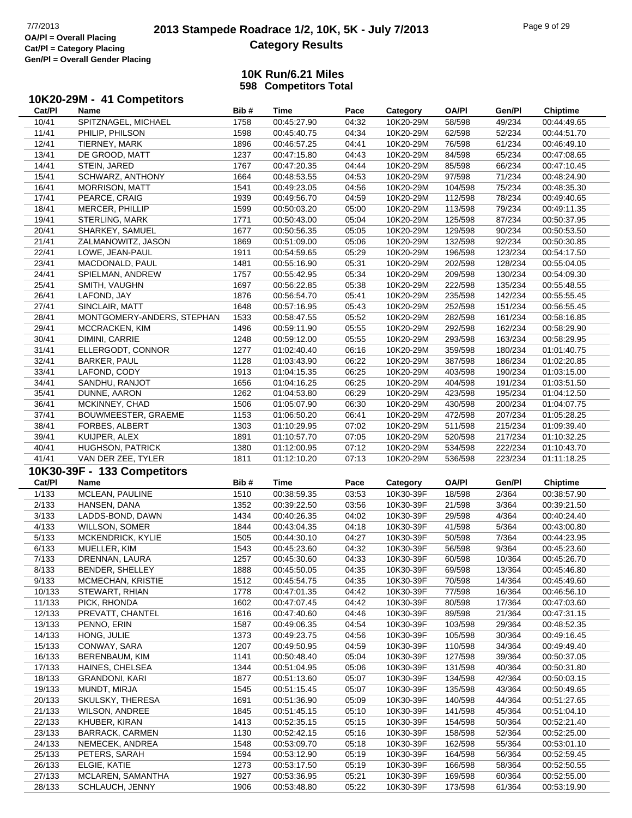# **2013 Stampede Roadrace 1/2, 10K, 5K - July 7/2013** Page 9 of 29 Page 9 of 29 **Category Results**

### **10K Run/6.21 Miles 598 Competitors Total**

## **10K20-29M - 41 Competitors**

| Cat/PI           | Name                                 | Bib#         | Time                       | Pace           | Category               | OA/PI              | Gen/Pl           | <b>Chiptime</b>            |
|------------------|--------------------------------------|--------------|----------------------------|----------------|------------------------|--------------------|------------------|----------------------------|
| 10/41            | SPITZNAGEL, MICHAEL                  | 1758         | 00:45:27.90                | 04:32          | 10K20-29M              | 58/598             | 49/234           | 00:44:49.65                |
| 11/41            | PHILIP, PHILSON                      | 1598         | 00:45:40.75                | 04:34          | 10K20-29M              | 62/598             | 52/234           | 00:44:51.70                |
| 12/41            | TIERNEY, MARK                        | 1896         | 00:46:57.25                | 04:41          | 10K20-29M              | 76/598             | 61/234           | 00:46:49.10                |
| 13/41            | DE GROOD, MATT                       | 1237         | 00:47:15.80                | 04:43          | 10K20-29M              | 84/598             | 65/234           | 00:47:08.65                |
| 14/41            | STEIN, JARED                         | 1767         | 00:47:20.35                | 04:44          | 10K20-29M              | 85/598             | 66/234           | 00:47:10.45                |
| 15/41            | SCHWARZ, ANTHONY                     | 1664         | 00:48:53.55                | 04:53          | 10K20-29M              | 97/598             | 71/234           | 00:48:24.90                |
| 16/41            | <b>MORRISON, MATT</b>                | 1541         | 00:49:23.05                | 04:56          | 10K20-29M              | 104/598            | 75/234           | 00:48:35.30                |
| 17/41            | PEARCE, CRAIG                        | 1939         | 00:49:56.70                | 04:59          | 10K20-29M              | 112/598            | 78/234           | 00:49:40.65                |
| 18/41            | MERCER, PHILLIP                      | 1599         | 00:50:03.20                | 05:00          | 10K20-29M              | 113/598            | 79/234           | 00:49:11.35                |
| 19/41            | STERLING, MARK                       | 1771         | 00:50:43.00                | 05:04          | 10K20-29M              | 125/598            | 87/234           | 00:50:37.95                |
|                  |                                      |              |                            |                |                        |                    | 90/234           |                            |
| 20/41            | SHARKEY, SAMUEL                      | 1677         | 00:50:56.35                | 05:05          | 10K20-29M              | 129/598            |                  | 00:50:53.50                |
| 21/41            | ZALMANOWITZ, JASON                   | 1869         | 00:51:09.00                | 05:06          | 10K20-29M              | 132/598            | 92/234           | 00:50:30.85                |
| 22/41            | LOWE, JEAN-PAUL                      | 1911         | 00:54:59.65                | 05:29          | 10K20-29M              | 196/598            | 123/234          | 00:54:17.50                |
| 23/41            | MACDONALD, PAUL                      | 1481         | 00:55:16.90                | 05:31          | 10K20-29M              | 202/598            | 128/234          | 00:55:04.05                |
| 24/41            | SPIELMAN, ANDREW                     | 1757         | 00:55:42.95                | 05:34          | 10K20-29M              | 209/598            | 130/234          | 00:54:09.30                |
| 25/41            | SMITH, VAUGHN                        | 1697         | 00:56:22.85                | 05:38          | 10K20-29M              | 222/598            | 135/234          | 00:55:48.55                |
| 26/41            | LAFOND, JAY                          | 1876         | 00:56:54.70                | 05:41          | 10K20-29M              | 235/598            | 142/234          | 00:55:55.45                |
| 27/41            | SINCLAIR, MATT                       | 1648         | 00:57:16.95                | 05:43          | 10K20-29M              | 252/598            | 151/234          | 00:56:55.45                |
| 28/41            | MONTGOMERY-ANDERS, STEPHAN           | 1533         | 00:58:47.55                | 05:52          | 10K20-29M              | 282/598            | 161/234          | 00:58:16.85                |
| 29/41            | MCCRACKEN, KIM                       | 1496         | 00:59:11.90                | 05:55          | 10K20-29M              | 292/598            | 162/234          | 00:58:29.90                |
| 30/41            | DIMINI, CARRIE                       | 1248         | 00:59:12.00                | 05:55          | 10K20-29M              | 293/598            | 163/234          | 00:58:29.95                |
| 31/41            | ELLERGODT, CONNOR                    | 1277         | 01:02:40.40                | 06:16          | 10K20-29M              | 359/598            | 180/234          | 01:01:40.75                |
| 32/41            | <b>BARKER, PAUL</b>                  | 1128         | 01:03:43.90                | 06:22          | 10K20-29M              | 387/598            | 186/234          | 01:02:20.85                |
| 33/41            | LAFOND, CODY                         | 1913         | 01:04:15.35                | 06:25          | 10K20-29M              | 403/598            | 190/234          | 01:03:15.00                |
| 34/41            | SANDHU, RANJOT                       | 1656         | 01:04:16.25                | 06:25          | 10K20-29M              | 404/598            | 191/234          | 01:03:51.50                |
| 35/41            | DUNNE, AARON                         | 1262         | 01:04:53.80                | 06:29          | 10K20-29M              | 423/598            | 195/234          | 01:04:12.50                |
| 36/41            | MCKINNEY, CHAD                       | 1506         | 01:05:07.90                | 06:30          | 10K20-29M              | 430/598            | 200/234          | 01:04:07.75                |
| 37/41            | BOUWMEESTER, GRAEME                  | 1153         | 01:06:50.20                | 06:41          | 10K20-29M              | 472/598            | 207/234          | 01:05:28.25                |
| 38/41            | FORBES, ALBERT                       | 1303         | 01:10:29.95                | 07:02          | 10K20-29M              | 511/598            | 215/234          | 01:09:39.40                |
| 39/41            | KUIJPER, ALEX                        | 1891         | 01:10:57.70                | 07:05          | 10K20-29M              | 520/598            | 217/234          | 01:10:32.25                |
|                  |                                      |              |                            |                |                        |                    |                  |                            |
|                  |                                      |              |                            |                |                        |                    |                  |                            |
| 40/41            | <b>HUGHSON, PATRICK</b>              | 1380         | 01:12:00.95                | 07:12          | 10K20-29M              | 534/598            | 222/234          | 01:10:43.70                |
| 41/41            | VAN DER ZEE, TYLER                   | 1811         | 01:12:10.20                | 07:13          | 10K20-29M              | 536/598            | 223/234          | 01:11:18.25                |
|                  | 10K30-39F - 133 Competitors          |              |                            |                |                        |                    |                  |                            |
| Cat/PI           | <b>Name</b>                          | Bib#         | Time                       | Pace           | Category               | <b>OA/PI</b>       | Gen/Pl           | <b>Chiptime</b>            |
| 1/133            | MCLEAN, PAULINE                      | 1510         | 00:38:59.35                | 03:53          | 10K30-39F              | 18/598             | 2/364            | 00:38:57.90                |
| 2/133            | HANSEN, DANA                         | 1352         | 00:39:22.50                | 03:56          | 10K30-39F              | 21/598             | 3/364            | 00:39:21.50                |
| 3/133            | LADDS-BOND, DAWN                     | 1434         | 00:40:26.35                | 04:02          | 10K30-39F              | 29/598             | 4/364            | 00:40:24.40                |
| 4/133            | <b>WILLSON, SOMER</b>                | 1844         | 00:43:04.35                | 04:18          | 10K30-39F              | 41/598             | 5/364            | 00:43:00.80                |
| 5/133            | MCKENDRICK, KYLIE                    | 1505         | 00:44:30.10                | 04:27          | 10K30-39F              | 50/598             | 7/364            | 00:44:23.95                |
| 6/133            | MUELLER, KIM                         | 1543         | 00:45:23.60                | 04:32          | 10K30-39F              | 56/598             | 9/364            | 00:45:23.60                |
| 7/133            | DRENNAN, LAURA                       | 1257         | 00:45:30.60                | 04:33          | 10K30-39F              | 60/598             | 10/364           | 00:45:26.70                |
| 8/133            | <b>BENDER, SHELLEY</b>               | 1888         | 00:45:50.05                | 04:35          | 10K30-39F              | 69/598             | 13/364           | 00:45:46.80                |
| 9/133            | MCMECHAN, KRISTIE                    | 1512         | 00:45:54.75                | 04:35          | 10K30-39F              | 70/598             | 14/364           | 00:45:49.60                |
| 10/133           | STEWART, RHIAN                       | 1778         | 00:47:01.35                | 04:42          | 10K30-39F              | 77/598             | 16/364           | 00:46:56.10                |
| 11/133           | PICK, RHONDA                         | 1602         | 00:47:07.45                | 04:42          | 10K30-39F              | 80/598             | 17/364           | 00:47:03.60                |
| 12/133           | PREVATT, CHANTEL                     | 1616         | 00:47:40.60                | 04:46          | 10K30-39F              | 89/598             | 21/364           | 00:47:31.15                |
| 13/133           | PENNO, ERIN                          | 1587         | 00:49:06.35                | 04:54          | 10K30-39F              | 103/598            | 29/364           | 00:48:52.35                |
| 14/133           | HONG, JULIE                          | 1373         | 00:49:23.75                | 04:56          | 10K30-39F              | 105/598            | 30/364           | 00:49:16.45                |
|                  |                                      |              |                            |                |                        |                    |                  |                            |
| 15/133           | CONWAY, SARA                         | 1207         | 00:49:50.95                | 04:59          | 10K30-39F              | 110/598            | 34/364<br>39/364 | 00:49:49.40                |
| 16/133           | BERENBAUM, KIM                       | 1141         | 00:50:48.40                | 05:04          | 10K30-39F              | 127/598            |                  | 00:50:37.05                |
| 17/133           | HAINES, CHELSEA                      | 1344         | 00:51:04.95                | 05:06          | 10K30-39F              | 131/598            | 40/364           | 00:50:31.80                |
| 18/133           | <b>GRANDONI, KARI</b>                | 1877         | 00:51:13.60                | 05:07          | 10K30-39F              | 134/598            | 42/364           | 00:50:03.15                |
| 19/133           | MUNDT, MIRJA                         | 1545         | 00:51:15.45                | 05:07          | 10K30-39F              | 135/598            | 43/364           | 00:50:49.65                |
| 20/133           | SKULSKY, THERESA                     | 1691         | 00:51:36.90                | 05:09          | 10K30-39F              | 140/598            | 44/364           | 00:51:27.65                |
| 21/133           | <b>WILSON, ANDREE</b>                | 1845         | 00:51:45.15                | 05:10          | 10K30-39F              | 141/598            | 45/364           | 00:51:04.10                |
| 22/133           | KHUBER, KIRAN                        | 1413         | 00:52:35.15                | 05:15          | 10K30-39F              | 154/598            | 50/364           | 00:52:21.40                |
| 23/133           | <b>BARRACK, CARMEN</b>               | 1130         | 00:52:42.15                | 05:16          | 10K30-39F              | 158/598            | 52/364           | 00:52:25.00                |
| 24/133           | NEMECEK, ANDREA                      | 1548         | 00:53:09.70                | 05:18          | 10K30-39F              | 162/598            | 55/364           | 00:53:01.10                |
| 25/133           | PETERS, SARAH                        | 1594         | 00:53:12.90                | 05:19          | 10K30-39F              | 164/598            | 56/364           | 00:52:59.45                |
| 26/133           | ELGIE, KATIE                         | 1273         | 00:53:17.50                | 05:19          | 10K30-39F              | 166/598            | 58/364           | 00:52:50.55                |
| 27/133<br>28/133 | MCLAREN, SAMANTHA<br>SCHLAUCH, JENNY | 1927<br>1906 | 00:53:36.95<br>00:53:48.80 | 05:21<br>05:22 | 10K30-39F<br>10K30-39F | 169/598<br>173/598 | 60/364<br>61/364 | 00:52:55.00<br>00:53:19.90 |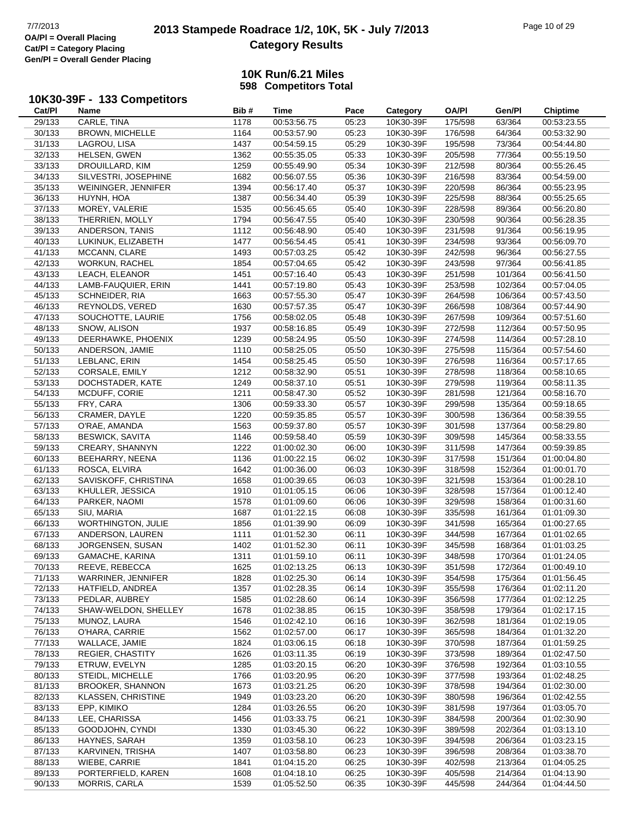# **2013 Stampede Roadrace 1/2, 10K, 5K - July 7/2013** Page 10 of 29<br> **OA/PI** = Overall Placing 2013 Stampede Roadrace 1/2, 10K, 5K - July 7/2013 **Category Results**

### **10K Run/6.21 Miles 598 Competitors Total**

## **10K30-39F - 133 Competitors**

| Cat/PI | Name                      | Bib# | <b>Time</b> | Pace  | Category  | <b>OA/PI</b> | Gen/Pl  | <b>Chiptime</b> |
|--------|---------------------------|------|-------------|-------|-----------|--------------|---------|-----------------|
| 29/133 | CARLE, TINA               | 1178 | 00:53:56.75 | 05:23 | 10K30-39F | 175/598      | 63/364  | 00:53:23.55     |
| 30/133 | <b>BROWN, MICHELLE</b>    | 1164 | 00:53:57.90 | 05:23 | 10K30-39F | 176/598      | 64/364  | 00:53:32.90     |
| 31/133 | LAGROU, LISA              | 1437 | 00:54:59.15 | 05:29 | 10K30-39F | 195/598      | 73/364  | 00:54:44.80     |
| 32/133 | <b>HELSEN, GWEN</b>       | 1362 | 00:55:35.05 | 05:33 | 10K30-39F | 205/598      | 77/364  | 00:55:19.50     |
| 33/133 | DROUILLARD, KIM           | 1259 | 00:55:49.90 | 05:34 | 10K30-39F | 212/598      | 80/364  | 00:55:26.45     |
| 34/133 | SILVESTRI, JOSEPHINE      | 1682 | 00:56:07.55 | 05:36 | 10K30-39F | 216/598      | 83/364  | 00:54:59.00     |
| 35/133 | WEININGER, JENNIFER       | 1394 | 00:56:17.40 | 05:37 | 10K30-39F | 220/598      | 86/364  | 00:55:23.95     |
| 36/133 | HUYNH, HOA                | 1387 | 00:56:34.40 | 05:39 | 10K30-39F | 225/598      | 88/364  | 00:55:25.65     |
|        |                           |      |             |       |           |              |         |                 |
| 37/133 | MOREY, VALERIE            | 1535 | 00:56:45.65 | 05:40 | 10K30-39F | 228/598      | 89/364  | 00:56:20.80     |
| 38/133 | THERRIEN, MOLLY           | 1794 | 00:56:47.55 | 05:40 | 10K30-39F | 230/598      | 90/364  | 00:56:28.35     |
| 39/133 | ANDERSON, TANIS           | 1112 | 00:56:48.90 | 05:40 | 10K30-39F | 231/598      | 91/364  | 00:56:19.95     |
| 40/133 | LUKINUK, ELIZABETH        | 1477 | 00:56:54.45 | 05:41 | 10K30-39F | 234/598      | 93/364  | 00:56:09.70     |
| 41/133 | MCCANN, CLARE             | 1493 | 00:57:03.25 | 05:42 | 10K30-39F | 242/598      | 96/364  | 00:56:27.55     |
| 42/133 | <b>WORKUN, RACHEL</b>     | 1854 | 00:57:04.65 | 05:42 | 10K30-39F | 243/598      | 97/364  | 00:56:41.85     |
| 43/133 | LEACH, ELEANOR            | 1451 | 00:57:16.40 | 05:43 | 10K30-39F | 251/598      | 101/364 | 00:56:41.50     |
| 44/133 | LAMB-FAUQUIER, ERIN       | 1441 | 00:57:19.80 | 05:43 | 10K30-39F | 253/598      | 102/364 | 00:57:04.05     |
| 45/133 | SCHNEIDER, RIA            | 1663 | 00:57:55.30 | 05:47 | 10K30-39F | 264/598      | 106/364 | 00:57:43.50     |
| 46/133 | REYNOLDS, VERED           | 1630 | 00:57:57.35 | 05:47 | 10K30-39F | 266/598      | 108/364 | 00:57:44.90     |
| 47/133 | SOUCHOTTE, LAURIE         | 1756 | 00:58:02.05 | 05:48 | 10K30-39F | 267/598      | 109/364 | 00:57:51.60     |
| 48/133 | SNOW, ALISON              | 1937 | 00:58:16.85 | 05:49 | 10K30-39F | 272/598      | 112/364 | 00:57:50.95     |
| 49/133 | DEERHAWKE, PHOENIX        | 1239 | 00:58:24.95 | 05:50 | 10K30-39F | 274/598      | 114/364 | 00:57:28.10     |
| 50/133 | ANDERSON, JAMIE           | 1110 | 00:58:25.05 | 05:50 | 10K30-39F | 275/598      | 115/364 | 00:57:54.60     |
| 51/133 | LEBLANC, ERIN             | 1454 | 00:58:25.45 | 05:50 | 10K30-39F | 276/598      | 116/364 | 00:57:17.65     |
| 52/133 | <b>CORSALE, EMILY</b>     | 1212 | 00:58:32.90 | 05:51 | 10K30-39F | 278/598      | 118/364 | 00:58:10.65     |
| 53/133 | DOCHSTADER, KATE          | 1249 | 00:58:37.10 | 05:51 | 10K30-39F | 279/598      | 119/364 | 00:58:11.35     |
| 54/133 | MCDUFF, CORIE             | 1211 | 00:58:47.30 | 05:52 | 10K30-39F | 281/598      | 121/364 | 00:58:16.70     |
| 55/133 | FRY, CARA                 | 1306 | 00:59:33.30 | 05:57 | 10K30-39F | 299/598      | 135/364 | 00:59:18.65     |
|        |                           | 1220 |             | 05:57 |           |              | 136/364 |                 |
| 56/133 | CRAMER, DAYLE             |      | 00:59:35.85 |       | 10K30-39F | 300/598      |         | 00:58:39.55     |
| 57/133 | O'RAE, AMANDA             | 1563 | 00:59:37.80 | 05:57 | 10K30-39F | 301/598      | 137/364 | 00:58:29.80     |
| 58/133 | <b>BESWICK, SAVITA</b>    | 1146 | 00:59:58.40 | 05:59 | 10K30-39F | 309/598      | 145/364 | 00:58:33.55     |
| 59/133 | CREARY, SHANNYN           | 1222 | 01:00:02.30 | 06:00 | 10K30-39F | 311/598      | 147/364 | 00:59:39.85     |
| 60/133 | BEEHARRY, NEENA           | 1136 | 01:00:22.15 | 06:02 | 10K30-39F | 317/598      | 151/364 | 01:00:04.80     |
| 61/133 | ROSCA, ELVIRA             | 1642 | 01:00:36.00 | 06:03 | 10K30-39F | 318/598      | 152/364 | 01:00:01.70     |
| 62/133 | SAVISKOFF, CHRISTINA      | 1658 | 01:00:39.65 | 06:03 | 10K30-39F | 321/598      | 153/364 | 01:00:28.10     |
| 63/133 | KHULLER, JESSICA          | 1910 | 01:01:05.15 | 06:06 | 10K30-39F | 328/598      | 157/364 | 01:00:12.40     |
| 64/133 | PARKER, NAOMI             | 1578 | 01:01:09.60 | 06:06 | 10K30-39F | 329/598      | 158/364 | 01:00:31.60     |
| 65/133 | SIU, MARIA                | 1687 | 01:01:22.15 | 06:08 | 10K30-39F | 335/598      | 161/364 | 01:01:09.30     |
| 66/133 | <b>WORTHINGTON, JULIE</b> | 1856 | 01:01:39.90 | 06:09 | 10K30-39F | 341/598      | 165/364 | 01:00:27.65     |
| 67/133 | ANDERSON, LAUREN          | 1111 | 01:01:52.30 | 06:11 | 10K30-39F | 344/598      | 167/364 | 01:01:02.65     |
| 68/133 | JORGENSEN, SUSAN          | 1402 | 01:01:52.30 | 06:11 | 10K30-39F | 345/598      | 168/364 | 01:01:03.25     |
| 69/133 | GAMACHE, KARINA           | 1311 | 01:01:59.10 | 06:11 | 10K30-39F | 348/598      | 170/364 | 01:01:24.05     |
| 70/133 | REEVE, REBECCA            | 1625 | 01:02:13.25 | 06:13 | 10K30-39F | 351/598      | 172/364 | 01:00:49.10     |
| 71/133 | WARRINER, JENNIFER        | 1828 | 01:02:25.30 | 06:14 | 10K30-39F | 354/598      | 175/364 | 01:01:56.45     |
| 72/133 | HATFIELD, ANDREA          | 1357 | 01:02:28.35 | 06:14 | 10K30-39F | 355/598      | 176/364 | 01:02:11.20     |
| 73/133 | PEDLAR, AUBREY            | 1585 | 01:02:28.60 | 06:14 | 10K30-39F | 356/598      | 177/364 | 01:02:12.25     |
| 74/133 | SHAW-WELDON, SHELLEY      | 1678 | 01:02:38.85 | 06:15 | 10K30-39F | 358/598      | 179/364 | 01:02:17.15     |
| 75/133 | MUNOZ, LAURA              | 1546 | 01:02:42.10 | 06:16 | 10K30-39F | 362/598      | 181/364 | 01:02:19.05     |
| 76/133 | O'HARA, CARRIE            | 1562 | 01:02:57.00 | 06:17 | 10K30-39F | 365/598      | 184/364 | 01:01:32.20     |
|        |                           |      |             |       |           |              |         |                 |
| 77/133 | WALLACE, JAMIE            | 1824 | 01:03:06.15 | 06:18 | 10K30-39F | 370/598      | 187/364 | 01:01:59.25     |
| 78/133 | <b>REGIER, CHASTITY</b>   | 1626 | 01:03:11.35 | 06:19 | 10K30-39F | 373/598      | 189/364 | 01:02:47.50     |
| 79/133 | ETRUW, EVELYN             | 1285 | 01:03:20.15 | 06:20 | 10K30-39F | 376/598      | 192/364 | 01:03:10.55     |
| 80/133 | STEIDL, MICHELLE          | 1766 | 01:03:20.95 | 06:20 | 10K30-39F | 377/598      | 193/364 | 01:02:48.25     |
| 81/133 | <b>BROOKER, SHANNON</b>   | 1673 | 01:03:21.25 | 06:20 | 10K30-39F | 378/598      | 194/364 | 01:02:30.00     |
| 82/133 | <b>KLASSEN, CHRISTINE</b> | 1949 | 01:03:23.20 | 06:20 | 10K30-39F | 380/598      | 196/364 | 01:02:42.55     |
| 83/133 | EPP, KIMIKO               | 1284 | 01:03:26.55 | 06:20 | 10K30-39F | 381/598      | 197/364 | 01:03:05.70     |
| 84/133 | LEE, CHARISSA             | 1456 | 01:03:33.75 | 06:21 | 10K30-39F | 384/598      | 200/364 | 01:02:30.90     |
| 85/133 | GOODJOHN, CYNDI           | 1330 | 01:03:45.30 | 06:22 | 10K30-39F | 389/598      | 202/364 | 01:03:13.10     |
| 86/133 | HAYNES, SARAH             | 1359 | 01:03:58.10 | 06:23 | 10K30-39F | 394/598      | 206/364 | 01:03:23.15     |
| 87/133 | KARVINEN, TRISHA          | 1407 | 01:03:58.80 | 06:23 | 10K30-39F | 396/598      | 208/364 | 01:03:38.70     |
| 88/133 | WIEBE, CARRIE             | 1841 | 01:04:15.20 | 06:25 | 10K30-39F | 402/598      | 213/364 | 01:04:05.25     |
| 89/133 | PORTERFIELD, KAREN        | 1608 | 01:04:18.10 | 06:25 | 10K30-39F | 405/598      | 214/364 | 01:04:13.90     |
| 90/133 | MORRIS, CARLA             | 1539 | 01:05:52.50 | 06:35 | 10K30-39F | 445/598      | 244/364 | 01:04:44.50     |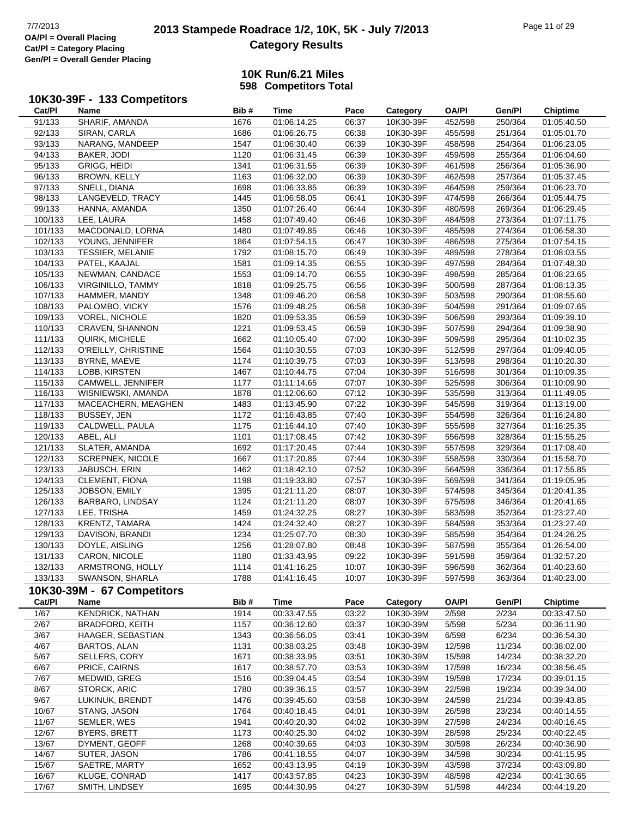## **2013 Stampede Roadrace 1/2, 10K, 5K - July 7/2013** Page 11 of 29 OA/PI = Overall Placing **Category Results**

### **10K Run/6.21 Miles 598 Competitors Total**

#### **10K30-39F - 133 Competitors**

| Cat/PI  | Name                       | Bib# | Time        | Pace  | Category  | <b>OA/PI</b> | Gen/Pl  | <b>Chiptime</b> |
|---------|----------------------------|------|-------------|-------|-----------|--------------|---------|-----------------|
| 91/133  | SHARIF, AMANDA             | 1676 | 01:06:14.25 | 06:37 | 10K30-39F | 452/598      | 250/364 | 01:05:40.50     |
| 92/133  | SIRAN, CARLA               | 1686 | 01:06:26.75 | 06:38 | 10K30-39F | 455/598      | 251/364 | 01:05:01.70     |
| 93/133  | NARANG, MANDEEP            | 1547 | 01:06:30.40 | 06:39 | 10K30-39F | 458/598      | 254/364 | 01:06:23.05     |
| 94/133  | BAKER, JODI                | 1120 | 01:06:31.45 | 06:39 | 10K30-39F | 459/598      | 255/364 | 01:06:04.60     |
| 95/133  | GRIGG, HEIDI               | 1341 | 01:06:31.55 | 06:39 | 10K30-39F | 461/598      | 256/364 | 01:05:36.90     |
| 96/133  | <b>BROWN, KELLY</b>        | 1163 | 01:06:32.00 | 06:39 | 10K30-39F | 462/598      | 257/364 | 01:05:37.45     |
| 97/133  | SNELL, DIANA               | 1698 | 01:06:33.85 | 06:39 | 10K30-39F | 464/598      | 259/364 | 01:06:23.70     |
| 98/133  | LANGEVELD, TRACY           | 1445 | 01:06:58.05 | 06:41 | 10K30-39F | 474/598      | 266/364 | 01:05:44.75     |
| 99/133  | HANNA, AMANDA              | 1350 | 01:07:26.40 | 06:44 | 10K30-39F | 480/598      | 269/364 | 01:06:29.45     |
| 100/133 | LEE, LAURA                 | 1458 | 01:07:49.40 | 06:46 | 10K30-39F | 484/598      | 273/364 | 01:07:11.75     |
| 101/133 | MACDONALD, LORNA           | 1480 | 01:07:49.85 | 06:46 | 10K30-39F | 485/598      | 274/364 | 01:06:58.30     |
| 102/133 | YOUNG, JENNIFER            | 1864 | 01:07:54.15 | 06:47 | 10K30-39F | 486/598      | 275/364 | 01:07:54.15     |
| 103/133 | <b>TESSIER, MELANIE</b>    | 1792 | 01:08:15.70 | 06:49 | 10K30-39F | 489/598      | 278/364 | 01:08:03.55     |
| 104/133 | PATEL, KAAJAL              | 1581 | 01:09:14.35 | 06:55 | 10K30-39F | 497/598      | 284/364 | 01:07:48.30     |
| 105/133 | NEWMAN, CANDACE            | 1553 | 01:09:14.70 | 06:55 | 10K30-39F | 498/598      | 285/364 | 01:08:23.65     |
| 106/133 | VIRGINILLO, TAMMY          | 1818 | 01:09:25.75 | 06:56 | 10K30-39F | 500/598      | 287/364 | 01:08:13.35     |
| 107/133 | HAMMER, MANDY              | 1348 | 01:09:46.20 | 06:58 | 10K30-39F | 503/598      | 290/364 | 01:08:55.60     |
| 108/133 | PALOMBO, VICKY             | 1576 | 01:09:48.25 | 06:58 | 10K30-39F | 504/598      | 291/364 | 01:09:07.65     |
| 109/133 | <b>VOREL, NICHOLE</b>      | 1820 | 01:09:53.35 | 06:59 | 10K30-39F | 506/598      | 293/364 | 01:09:39.10     |
| 110/133 | CRAVEN, SHANNON            | 1221 | 01:09:53.45 | 06:59 | 10K30-39F | 507/598      | 294/364 | 01:09:38.90     |
| 111/133 | QUIRK, MICHELE             | 1662 | 01:10:05.40 | 07:00 | 10K30-39F | 509/598      | 295/364 | 01:10:02.35     |
| 112/133 | O'REILLY, CHRISTINE        | 1564 | 01:10:30.55 | 07:03 | 10K30-39F | 512/598      | 297/364 | 01:09:40.05     |
| 113/133 | BYRNE, MAEVE               | 1174 | 01:10:39.75 | 07:03 | 10K30-39F | 513/598      | 298/364 | 01:10:20.30     |
| 114/133 | LOBB, KIRSTEN              | 1467 | 01:10:44.75 | 07:04 | 10K30-39F | 516/598      | 301/364 | 01:10:09.35     |
| 115/133 | CAMWELL, JENNIFER          | 1177 | 01:11:14.65 | 07:07 | 10K30-39F | 525/598      | 306/364 | 01:10:09.90     |
| 116/133 | WISNIEWSKI, AMANDA         | 1878 | 01:12:06.60 | 07:12 | 10K30-39F | 535/598      | 313/364 | 01:11:49.05     |
| 117/133 | MACEACHERN, MEAGHEN        | 1483 | 01:13:45.90 | 07:22 | 10K30-39F | 545/598      | 319/364 | 01:13:19.00     |
| 118/133 | BUSSEY, JEN                | 1172 | 01:16:43.85 | 07:40 | 10K30-39F | 554/598      | 326/364 | 01:16:24.80     |
| 119/133 | CALDWELL, PAULA            | 1175 | 01:16:44.10 | 07:40 | 10K30-39F | 555/598      | 327/364 | 01:16:25.35     |
| 120/133 | ABEL, ALI                  | 1101 | 01:17:08.45 | 07:42 | 10K30-39F | 556/598      | 328/364 | 01:15:55.25     |
| 121/133 | SLATER, AMANDA             | 1692 | 01:17:20.45 | 07:44 | 10K30-39F | 557/598      | 329/364 | 01:17:08.40     |
| 122/133 | <b>SCREPNEK, NICOLE</b>    | 1667 | 01:17:20.85 | 07:44 | 10K30-39F | 558/598      | 330/364 | 01:15:58.70     |
| 123/133 | JABUSCH, ERIN              | 1462 | 01:18:42.10 | 07:52 | 10K30-39F | 564/598      | 336/364 | 01:17:55.85     |
| 124/133 | CLEMENT, FIONA             | 1198 | 01:19:33.80 | 07:57 | 10K30-39F | 569/598      | 341/364 | 01:19:05.95     |
| 125/133 | JOBSON, EMILY              | 1395 | 01:21:11.20 | 08:07 | 10K30-39F | 574/598      | 345/364 | 01:20:41.35     |
| 126/133 | BARBARO, LINDSAY           | 1124 | 01:21:11.20 | 08:07 | 10K30-39F | 575/598      | 346/364 | 01:20:41.65     |
| 127/133 | LEE, TRISHA                | 1459 | 01:24:32.25 | 08:27 | 10K30-39F | 583/598      | 352/364 | 01:23:27.40     |
| 128/133 | KRENTZ, TAMARA             | 1424 | 01:24:32.40 | 08:27 | 10K30-39F | 584/598      | 353/364 | 01:23:27.40     |
| 129/133 | DAVISON, BRANDI            | 1234 | 01:25:07.70 | 08:30 | 10K30-39F | 585/598      | 354/364 | 01:24:26.25     |
| 130/133 | DOYLE, AISLING             | 1256 | 01:28:07.80 | 08:48 | 10K30-39F | 587/598      | 355/364 | 01:26:54.00     |
| 131/133 | CARON, NICOLE              | 1180 | 01:33:43.95 | 09:22 | 10K30-39F | 591/598      | 359/364 | 01:32:57.20     |
| 132/133 | ARMSTRONG, HOLLY           | 1114 | 01:41:16.25 | 10:07 | 10K30-39F | 596/598      | 362/364 | 01:40:23.60     |
| 133/133 | SWANSON, SHARLA            | 1788 | 01:41:16.45 | 10:07 | 10K30-39F | 597/598      | 363/364 | 01:40:23.00     |
|         | 10K30-39M - 67 Competitors |      |             |       |           |              |         |                 |
| Cat/PI  | Name                       | Bib# | <b>Time</b> | Pace  | Category  | <b>OA/PI</b> | Gen/Pl  | <b>Chiptime</b> |
| 1/67    | <b>KENDRICK, NATHAN</b>    | 1914 | 00:33:47.55 | 03:22 | 10K30-39M | 2/598        | 2/234   | 00:33:47.50     |
| 2/67    | <b>BRADFORD, KEITH</b>     | 1157 | 00:36:12.60 | 03:37 | 10K30-39M | 5/598        | 5/234   | 00:36:11.90     |
| 3/67    | HAAGER, SEBASTIAN          | 1343 | 00:36:56.05 | 03:41 | 10K30-39M | 6/598        | 6/234   | 00:36:54.30     |
| 4/67    | <b>BARTOS, ALAN</b>        | 1131 | 00:38:03.25 | 03:48 | 10K30-39M | 12/598       | 11/234  | 00:38:02.00     |
| 5/67    | SELLERS, CORY              | 1671 | 00:38:33.95 | 03:51 | 10K30-39M | 15/598       | 14/234  | 00:38:32.20     |
| 6/67    | PRICE, CAIRNS              | 1617 | 00:38:57.70 | 03:53 | 10K30-39M | 17/598       | 16/234  | 00:38:56.45     |
| 7/67    | MEDWID, GREG               | 1516 | 00:39:04.45 | 03:54 | 10K30-39M | 19/598       | 17/234  | 00:39:01.15     |
| 8/67    | STORCK, ARIC               | 1780 | 00:39:36.15 | 03:57 | 10K30-39M | 22/598       | 19/234  | 00:39:34.00     |
| 9/67    | LUKINUK, BRENDT            | 1476 | 00:39:45.60 | 03:58 | 10K30-39M | 24/598       | 21/234  | 00:39:43.85     |
| 10/67   | STANG, JASON               | 1764 | 00:40:18.45 | 04:01 | 10K30-39M | 26/598       | 23/234  | 00:40:14.55     |
| 11/67   | SEMLER, WES                | 1941 | 00:40:20.30 | 04:02 | 10K30-39M | 27/598       | 24/234  | 00:40:16.45     |
| 12/67   | <b>BYERS, BRETT</b>        | 1173 | 00:40:25.30 | 04:02 | 10K30-39M | 28/598       | 25/234  | 00:40:22.45     |
| 13/67   | DYMENT, GEOFF              | 1268 | 00:40:39.65 | 04:03 | 10K30-39M | 30/598       | 26/234  | 00:40:36.90     |

14/67 SUTER, JASON 1786 00:41:18.55 04:07 10K30-39M 34/598 30/234 00:41:15.95 15/67 SAETRE, MARTY 1652 00:43:13.95 04:19 10K30-39M 43/598 37/234 00:43:09.80 16/67 KLUGE, CONRAD 1417 00:43:57.85 04:23 10K30-39M 48/598 42/234 00:41:30.65 17/67 SMITH, LINDSEY 1695 00:44:30.95 04:27 10K30-39M 51/598 44/234 00:44:19.20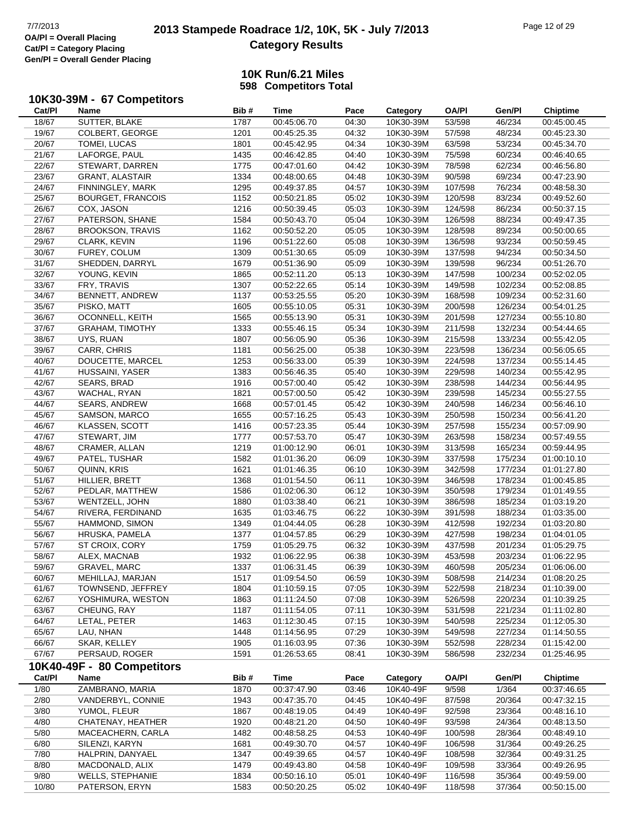# **2013 Stampede Roadrace 1/2, 10K, 5K - July 7/2013** Page 12 of 29 Page 12 of 29 Page 12 of 29 **Category Results**

### **10K Run/6.21 Miles 598 Competitors Total**

## **10K30-39M - 67 Competitors**

| Cat/PI | Name                       | Bib# | Time        | Pace  | Category  | <b>OA/PI</b> | Gen/Pl  | <b>Chiptime</b> |
|--------|----------------------------|------|-------------|-------|-----------|--------------|---------|-----------------|
| 18/67  | SUTTER, BLAKE              | 1787 | 00:45:06.70 | 04:30 | 10K30-39M | 53/598       | 46/234  | 00:45:00.45     |
| 19/67  | COLBERT, GEORGE            | 1201 | 00:45:25.35 | 04:32 | 10K30-39M | 57/598       | 48/234  | 00:45:23.30     |
| 20/67  | TOMEI, LUCAS               | 1801 | 00:45:42.95 | 04:34 | 10K30-39M | 63/598       | 53/234  | 00:45:34.70     |
| 21/67  | LAFORGE, PAUL              | 1435 | 00:46:42.85 | 04:40 | 10K30-39M | 75/598       | 60/234  | 00:46:40.65     |
| 22/67  | STEWART, DARREN            | 1775 | 00:47:01.60 | 04:42 | 10K30-39M | 78/598       | 62/234  | 00:46:56.80     |
| 23/67  | GRANT, ALASTAIR            | 1334 | 00:48:00.65 | 04:48 | 10K30-39M | 90/598       | 69/234  | 00:47:23.90     |
| 24/67  | FINNINGLEY, MARK           | 1295 | 00:49:37.85 | 04:57 | 10K30-39M | 107/598      | 76/234  | 00:48:58.30     |
| 25/67  | <b>BOURGET, FRANCOIS</b>   | 1152 | 00:50:21.85 | 05:02 | 10K30-39M | 120/598      | 83/234  | 00:49:52.60     |
| 26/67  | COX, JASON                 | 1216 | 00:50:39.45 | 05:03 | 10K30-39M | 124/598      | 86/234  | 00:50:37.15     |
| 27/67  | PATERSON, SHANE            | 1584 | 00:50:43.70 | 05:04 | 10K30-39M | 126/598      | 88/234  | 00:49:47.35     |
| 28/67  | <b>BROOKSON, TRAVIS</b>    | 1162 | 00:50:52.20 | 05:05 | 10K30-39M | 128/598      | 89/234  | 00:50:00.65     |
| 29/67  | CLARK, KEVIN               | 1196 | 00:51:22.60 | 05:08 | 10K30-39M | 136/598      | 93/234  | 00:50:59.45     |
| 30/67  | FUREY, COLUM               | 1309 | 00:51:30.65 | 05:09 | 10K30-39M | 137/598      | 94/234  | 00:50:34.50     |
| 31/67  | SHEDDEN, DARRYL            | 1679 | 00:51:36.90 | 05:09 | 10K30-39M | 139/598      | 96/234  | 00:51:26.70     |
| 32/67  | YOUNG, KEVIN               | 1865 | 00:52:11.20 | 05:13 | 10K30-39M | 147/598      | 100/234 | 00:52:02.05     |
| 33/67  | FRY, TRAVIS                | 1307 | 00:52:22.65 | 05:14 | 10K30-39M | 149/598      | 102/234 | 00:52:08.85     |
| 34/67  | BENNETT, ANDREW            | 1137 | 00:53:25.55 | 05:20 | 10K30-39M | 168/598      | 109/234 | 00:52:31.60     |
| 35/67  | PISKO, MATT                | 1605 | 00:55:10.05 | 05:31 | 10K30-39M | 200/598      | 126/234 | 00:54:01.25     |
| 36/67  | OCONNELL, KEITH            | 1565 | 00:55:13.90 | 05:31 | 10K30-39M | 201/598      | 127/234 | 00:55:10.80     |
| 37/67  | <b>GRAHAM, TIMOTHY</b>     | 1333 | 00:55:46.15 | 05:34 | 10K30-39M | 211/598      | 132/234 | 00:54:44.65     |
| 38/67  | UYS, RUAN                  | 1807 | 00:56:05.90 | 05:36 | 10K30-39M | 215/598      | 133/234 | 00:55:42.05     |
| 39/67  | CARR, CHRIS                | 1181 | 00:56:25.00 | 05:38 | 10K30-39M | 223/598      | 136/234 | 00:56:05.65     |
| 40/67  | DOUCETTE, MARCEL           | 1253 | 00:56:33.00 | 05:39 | 10K30-39M | 224/598      | 137/234 | 00:55:14.45     |
| 41/67  | HUSSAINI, YASER            | 1383 | 00:56:46.35 | 05:40 | 10K30-39M | 229/598      | 140/234 | 00:55:42.95     |
| 42/67  | SEARS, BRAD                | 1916 | 00:57:00.40 | 05:42 | 10K30-39M | 238/598      | 144/234 | 00:56:44.95     |
| 43/67  | WACHAL, RYAN               | 1821 | 00:57:00.50 | 05:42 | 10K30-39M | 239/598      | 145/234 | 00:55:27.55     |
| 44/67  | SEARS, ANDREW              | 1668 | 00:57:01.45 | 05:42 | 10K30-39M | 240/598      | 146/234 | 00:56:46.10     |
| 45/67  | SAMSON, MARCO              | 1655 | 00:57:16.25 | 05:43 | 10K30-39M | 250/598      | 150/234 | 00:56:41.20     |
| 46/67  | KLASSEN, SCOTT             | 1416 | 00:57:23.35 | 05:44 | 10K30-39M | 257/598      | 155/234 | 00:57:09.90     |
| 47/67  | STEWART, JIM               | 1777 | 00:57:53.70 | 05:47 | 10K30-39M | 263/598      | 158/234 | 00:57:49.55     |
| 48/67  | CRAMER, ALLAN              | 1219 | 01:00:12.90 | 06:01 | 10K30-39M | 313/598      | 165/234 | 00:59:44.95     |
| 49/67  | PATEL, TUSHAR              | 1582 | 01:01:36.20 | 06:09 | 10K30-39M | 337/598      | 175/234 | 01:00:10.10     |
| 50/67  | QUINN, KRIS                | 1621 | 01:01:46.35 | 06:10 | 10K30-39M | 342/598      | 177/234 | 01:01:27.80     |
| 51/67  | HILLIER, BRETT             | 1368 | 01:01:54.50 | 06:11 | 10K30-39M | 346/598      | 178/234 | 01:00:45.85     |
| 52/67  | PEDLAR, MATTHEW            | 1586 | 01:02:06.30 | 06:12 | 10K30-39M | 350/598      | 179/234 | 01:01:49.55     |
| 53/67  | WENTZELL, JOHN             | 1880 | 01:03:38.40 | 06:21 | 10K30-39M | 386/598      | 185/234 | 01:03:19.20     |
| 54/67  | RIVERA, FERDINAND          | 1635 | 01:03:46.75 | 06:22 | 10K30-39M | 391/598      | 188/234 | 01:03:35.00     |
| 55/67  | HAMMOND, SIMON             | 1349 | 01:04:44.05 | 06:28 | 10K30-39M | 412/598      | 192/234 | 01:03:20.80     |
| 56/67  | HRUSKA, PAMELA             | 1377 | 01:04:57.85 | 06:29 | 10K30-39M | 427/598      | 198/234 | 01:04:01.05     |
| 57/67  | ST CROIX, CORY             | 1759 | 01:05:29.75 | 06:32 | 10K30-39M | 437/598      | 201/234 | 01:05:29.75     |
| 58/67  | ALEX, MACNAB               | 1932 | 01:06:22.95 | 06:38 | 10K30-39M | 453/598      | 203/234 | 01:06:22.95     |
| 59/67  | GRAVEL, MARC               | 1337 | 01:06:31.45 | 06:39 | 10K30-39M | 460/598      | 205/234 | 01:06:06.00     |
| 60/67  | MEHILLAJ, MARJAN           | 1517 | 01:09:54.50 | 06:59 | 10K30-39M | 508/598      | 214/234 | 01:08:20.25     |
| 61/67  | TOWNSEND, JEFFREY          | 1804 | 01:10:59.15 | 07:05 | 10K30-39M | 522/598      | 218/234 | 01:10:39.00     |
| 62/67  | YOSHIMURA, WESTON          | 1863 | 01:11:24.50 | 07:08 | 10K30-39M | 526/598      | 220/234 | 01:10:39.25     |
| 63/67  | CHEUNG, RAY                | 1187 | 01:11:54.05 | 07:11 | 10K30-39M | 531/598      | 221/234 | 01:11:02.80     |
| 64/67  | LETAL, PETER               | 1463 | 01:12:30.45 | 07:15 | 10K30-39M | 540/598      | 225/234 | 01:12:05.30     |
| 65/67  | LAU, NHAN                  | 1448 | 01:14:56.95 | 07:29 | 10K30-39M | 549/598      | 227/234 | 01:14:50.55     |
| 66/67  | SKAR, KELLEY               | 1905 | 01:16:03.95 | 07:36 | 10K30-39M | 552/598      | 228/234 | 01:15:42.00     |
| 67/67  | PERSAUD, ROGER             | 1591 | 01:26:53.65 | 08:41 | 10K30-39M | 586/598      | 232/234 | 01:25:46.95     |
|        | 10K40-49F - 80 Competitors |      |             |       |           |              |         |                 |
| Cat/PI | Name                       | Bib# | <b>Time</b> | Pace  | Category  | <b>OA/PI</b> | Gen/Pl  | <b>Chiptime</b> |
| 1/80   | ZAMBRANO, MARIA            | 1870 | 00:37:47.90 | 03:46 | 10K40-49F | 9/598        | 1/364   | 00:37:46.65     |
| 2/80   | VANDERBYL, CONNIE          | 1943 | 00:47:35.70 | 04:45 | 10K40-49F | 87/598       | 20/364  | 00:47:32.15     |
| 3/80   | YUMOL, FLEUR               | 1867 | 00:48:19.05 | 04:49 | 10K40-49F | 92/598       | 23/364  | 00:48:16.10     |
| 4/80   | CHATENAY, HEATHER          | 1920 | 00:48:21.20 | 04:50 | 10K40-49F | 93/598       | 24/364  | 00:48:13.50     |
| 5/80   | MACEACHERN, CARLA          | 1482 | 00:48:58.25 | 04:53 | 10K40-49F | 100/598      | 28/364  | 00:48:49.10     |
| 6/80   | SILENZI, KARYN             | 1681 | 00:49:30.70 | 04:57 | 10K40-49F | 106/598      | 31/364  | 00:49:26.25     |
| 7/80   | HALPRIN, DANYAEL           | 1347 | 00:49:39.65 | 04:57 | 10K40-49F | 108/598      | 32/364  | 00:49:31.25     |
| 8/80   | MACDONALD, ALIX            | 1479 | 00:49:43.80 | 04:58 | 10K40-49F | 109/598      | 33/364  | 00:49:26.95     |
| 9/80   | <b>WELLS, STEPHANIE</b>    | 1834 | 00:50:16.10 | 05:01 | 10K40-49F | 116/598      | 35/364  | 00:49:59.00     |
| 10/80  | PATERSON, ERYN             | 1583 | 00:50:20.25 | 05:02 | 10K40-49F | 118/598      | 37/364  | 00:50:15.00     |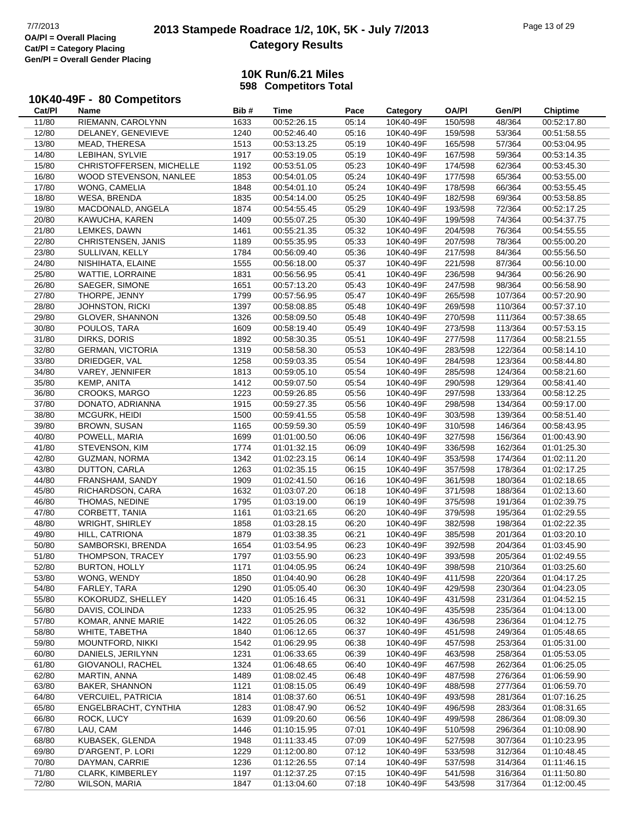# **2013 Stampede Roadrace 1/2, 10K, 5K - July 7/2013** Page 13 of 29<br> **OA/PI** = Overall Placing 2013 Stampede Roadrace 1/2, 10K, 5K - July 7/2013 **Category Results**

### **10K Run/6.21 Miles 598 Competitors Total**

## **10K40-49F - 80 Competitors**

| Cat/PI | Name                      | Bib# | Time        | Pace  | Category  | OA/PI   | Gen/Pl  | <b>Chiptime</b> |
|--------|---------------------------|------|-------------|-------|-----------|---------|---------|-----------------|
| 11/80  | RIEMANN, CAROLYNN         | 1633 | 00:52:26.15 | 05:14 | 10K40-49F | 150/598 | 48/364  | 00:52:17.80     |
| 12/80  | DELANEY, GENEVIEVE        | 1240 | 00:52:46.40 | 05:16 | 10K40-49F | 159/598 | 53/364  | 00:51:58.55     |
| 13/80  | MEAD, THERESA             | 1513 | 00:53:13.25 | 05:19 | 10K40-49F | 165/598 | 57/364  | 00:53:04.95     |
| 14/80  | LEBIHAN, SYLVIE           | 1917 | 00:53:19.05 | 05:19 | 10K40-49F | 167/598 | 59/364  | 00:53:14.35     |
|        |                           |      |             |       | 10K40-49F |         |         |                 |
| 15/80  | CHRISTOFFERSEN, MICHELLE  | 1192 | 00:53:51.05 | 05:23 |           | 174/598 | 62/364  | 00:53:45.30     |
| 16/80  | WOOD STEVENSON, NANLEE    | 1853 | 00:54:01.05 | 05:24 | 10K40-49F | 177/598 | 65/364  | 00:53:55.00     |
| 17/80  | WONG, CAMELIA             | 1848 | 00:54:01.10 | 05:24 | 10K40-49F | 178/598 | 66/364  | 00:53:55.45     |
| 18/80  | <b>WESA, BRENDA</b>       | 1835 | 00:54:14.00 | 05:25 | 10K40-49F | 182/598 | 69/364  | 00:53:58.85     |
| 19/80  | MACDONALD, ANGELA         | 1874 | 00:54:55.45 | 05:29 | 10K40-49F | 193/598 | 72/364  | 00:52:17.25     |
| 20/80  | KAWUCHA, KAREN            | 1409 | 00:55:07.25 | 05:30 | 10K40-49F | 199/598 | 74/364  | 00:54:37.75     |
| 21/80  | LEMKES, DAWN              | 1461 | 00:55:21.35 | 05:32 | 10K40-49F | 204/598 | 76/364  | 00:54:55.55     |
| 22/80  | CHRISTENSEN, JANIS        | 1189 | 00:55:35.95 | 05:33 | 10K40-49F | 207/598 | 78/364  | 00:55:00.20     |
| 23/80  | SULLIVAN, KELLY           | 1784 | 00:56:09.40 | 05:36 | 10K40-49F | 217/598 | 84/364  | 00:55:56.50     |
| 24/80  | NISHIHATA, ELAINE         | 1555 | 00:56:18.00 | 05:37 | 10K40-49F | 221/598 | 87/364  | 00:56:10.00     |
|        |                           |      |             |       |           |         |         |                 |
| 25/80  | WATTIE, LORRAINE          | 1831 | 00:56:56.95 | 05:41 | 10K40-49F | 236/598 | 94/364  | 00:56:26.90     |
| 26/80  | SAEGER, SIMONE            | 1651 | 00:57:13.20 | 05:43 | 10K40-49F | 247/598 | 98/364  | 00:56:58.90     |
| 27/80  | THORPE, JENNY             | 1799 | 00:57:56.95 | 05:47 | 10K40-49F | 265/598 | 107/364 | 00:57:20.90     |
| 28/80  | <b>JOHNSTON, RICKI</b>    | 1397 | 00:58:08.85 | 05:48 | 10K40-49F | 269/598 | 110/364 | 00:57:37.10     |
| 29/80  | GLOVER, SHANNON           | 1326 | 00:58:09.50 | 05:48 | 10K40-49F | 270/598 | 111/364 | 00:57:38.65     |
| 30/80  | POULOS, TARA              | 1609 | 00:58:19.40 | 05:49 | 10K40-49F | 273/598 | 113/364 | 00:57:53.15     |
| 31/80  | DIRKS, DORIS              | 1892 | 00:58:30.35 | 05:51 | 10K40-49F | 277/598 | 117/364 | 00:58:21.55     |
| 32/80  | <b>GERMAN, VICTORIA</b>   | 1319 | 00:58:58.30 | 05:53 | 10K40-49F | 283/598 | 122/364 | 00:58:14.10     |
| 33/80  | DRIEDGER, VAL             | 1258 | 00:59:03.35 | 05:54 | 10K40-49F | 284/598 | 123/364 | 00:58:44.80     |
| 34/80  | VAREY, JENNIFER           | 1813 | 00:59:05.10 | 05:54 | 10K40-49F | 285/598 | 124/364 | 00:58:21.60     |
|        |                           | 1412 | 00:59:07.50 |       | 10K40-49F |         | 129/364 | 00:58:41.40     |
| 35/80  | KEMP, ANITA               |      |             | 05:54 |           | 290/598 |         |                 |
| 36/80  | CROOKS, MARGO             | 1223 | 00:59:26.85 | 05:56 | 10K40-49F | 297/598 | 133/364 | 00:58:12.25     |
| 37/80  | DONATO, ADRIANNA          | 1915 | 00:59:27.35 | 05:56 | 10K40-49F | 298/598 | 134/364 | 00:59:17.00     |
| 38/80  | MCGURK, HEIDI             | 1500 | 00:59:41.55 | 05:58 | 10K40-49F | 303/598 | 139/364 | 00:58:51.40     |
| 39/80  | <b>BROWN, SUSAN</b>       | 1165 | 00:59:59.30 | 05:59 | 10K40-49F | 310/598 | 146/364 | 00:58:43.95     |
| 40/80  | POWELL, MARIA             | 1699 | 01:01:00.50 | 06:06 | 10K40-49F | 327/598 | 156/364 | 01:00:43.90     |
| 41/80  | STEVENSON, KIM            | 1774 | 01:01:32.15 | 06:09 | 10K40-49F | 336/598 | 162/364 | 01:01:25.30     |
| 42/80  | <b>GUZMAN, NORMA</b>      | 1342 | 01:02:23.15 | 06:14 | 10K40-49F | 353/598 | 174/364 | 01:02:11.20     |
| 43/80  | DUTTON, CARLA             | 1263 | 01:02:35.15 | 06:15 | 10K40-49F | 357/598 | 178/364 | 01:02:17.25     |
| 44/80  | FRANSHAM, SANDY           | 1909 | 01:02:41.50 | 06:16 | 10K40-49F | 361/598 | 180/364 | 01:02:18.65     |
| 45/80  | RICHARDSON, CARA          | 1632 | 01:03:07.20 | 06:18 | 10K40-49F | 371/598 | 188/364 | 01:02:13.60     |
| 46/80  | THOMAS, NEDINE            | 1795 | 01:03:19.00 | 06:19 | 10K40-49F | 375/598 | 191/364 | 01:02:39.75     |
| 47/80  | CORBETT, TANIA            | 1161 | 01:03:21.65 | 06:20 | 10K40-49F | 379/598 | 195/364 | 01:02:29.55     |
| 48/80  | <b>WRIGHT, SHIRLEY</b>    | 1858 | 01:03:28.15 | 06:20 | 10K40-49F | 382/598 | 198/364 | 01:02:22.35     |
|        |                           |      |             |       | 10K40-49F |         |         |                 |
| 49/80  | HILL, CATRIONA            | 1879 | 01:03:38.35 | 06:21 |           | 385/598 | 201/364 | 01:03:20.10     |
| 50/80  | SAMBORSKI, BRENDA         | 1654 | 01:03:54.95 | 06:23 | 10K40-49F | 392/598 | 204/364 | 01:03:45.90     |
| 51/80  | THOMPSON, TRACEY          | 1797 | 01:03:55.90 | 06:23 | 10K40-49F | 393/598 | 205/364 | 01:02:49.55     |
| 52/80  | <b>BURTON, HOLLY</b>      | 1171 | 01:04:05.95 | 06:24 | 10K40-49F | 398/598 | 210/364 | 01:03:25.60     |
| 53/80  | WONG, WENDY               | 1850 | 01:04:40.90 | 06:28 | 10K40-49F | 411/598 | 220/364 | 01:04:17.25     |
| 54/80  | FARLEY, TARA              | 1290 | 01:05:05.40 | 06:30 | 10K40-49F | 429/598 | 230/364 | 01:04:23.05     |
| 55/80  | KOKORUDZ, SHELLEY         | 1420 | 01:05:16.45 | 06:31 | 10K40-49F | 431/598 | 231/364 | 01:04:52.15     |
| 56/80  | DAVIS, COLINDA            | 1233 | 01:05:25.95 | 06:32 | 10K40-49F | 435/598 | 235/364 | 01:04:13.00     |
| 57/80  | KOMAR, ANNE MARIE         | 1422 | 01:05:26.05 | 06:32 | 10K40-49F | 436/598 | 236/364 | 01:04:12.75     |
| 58/80  | WHITE, TABETHA            | 1840 | 01:06:12.65 | 06:37 | 10K40-49F | 451/598 | 249/364 | 01:05:48.65     |
| 59/80  | MOUNTFORD, NIKKI          | 1542 | 01:06:29.95 | 06:38 | 10K40-49F | 457/598 | 253/364 | 01:05:31.00     |
| 60/80  | DANIELS, JERILYNN         | 1231 |             | 06:39 | 10K40-49F | 463/598 | 258/364 |                 |
|        |                           |      | 01:06:33.65 |       |           |         |         | 01:05:53.05     |
| 61/80  | GIOVANOLI, RACHEL         | 1324 | 01:06:48.65 | 06:40 | 10K40-49F | 467/598 | 262/364 | 01:06:25.05     |
| 62/80  | MARTIN, ANNA              | 1489 | 01:08:02.45 | 06:48 | 10K40-49F | 487/598 | 276/364 | 01:06:59.90     |
| 63/80  | <b>BAKER, SHANNON</b>     | 1121 | 01:08:15.05 | 06:49 | 10K40-49F | 488/598 | 277/364 | 01:06:59.70     |
| 64/80  | <b>VERCUIEL, PATRICIA</b> | 1814 | 01:08:37.60 | 06:51 | 10K40-49F | 493/598 | 281/364 | 01:07:16.25     |
| 65/80  | ENGELBRACHT, CYNTHIA      | 1283 | 01:08:47.90 | 06:52 | 10K40-49F | 496/598 | 283/364 | 01:08:31.65     |
| 66/80  | ROCK, LUCY                | 1639 | 01:09:20.60 | 06:56 | 10K40-49F | 499/598 | 286/364 | 01:08:09.30     |
| 67/80  | LAU, CAM                  | 1446 | 01:10:15.95 | 07:01 | 10K40-49F | 510/598 | 296/364 | 01:10:08.90     |
| 68/80  | KUBASEK, GLENDA           | 1948 | 01:11:33.45 | 07:09 | 10K40-49F | 527/598 | 307/364 | 01:10:23.95     |
| 69/80  | D'ARGENT, P. LORI         | 1229 | 01:12:00.80 | 07:12 | 10K40-49F | 533/598 | 312/364 | 01:10:48.45     |
| 70/80  | DAYMAN, CARRIE            | 1236 | 01:12:26.55 | 07:14 | 10K40-49F | 537/598 | 314/364 | 01:11:46.15     |
| 71/80  | CLARK, KIMBERLEY          | 1197 | 01:12:37.25 | 07:15 | 10K40-49F | 541/598 | 316/364 | 01:11:50.80     |
|        |                           |      |             |       |           |         |         |                 |
| 72/80  | WILSON, MARIA             | 1847 | 01:13:04.60 | 07:18 | 10K40-49F | 543/598 | 317/364 | 01:12:00.45     |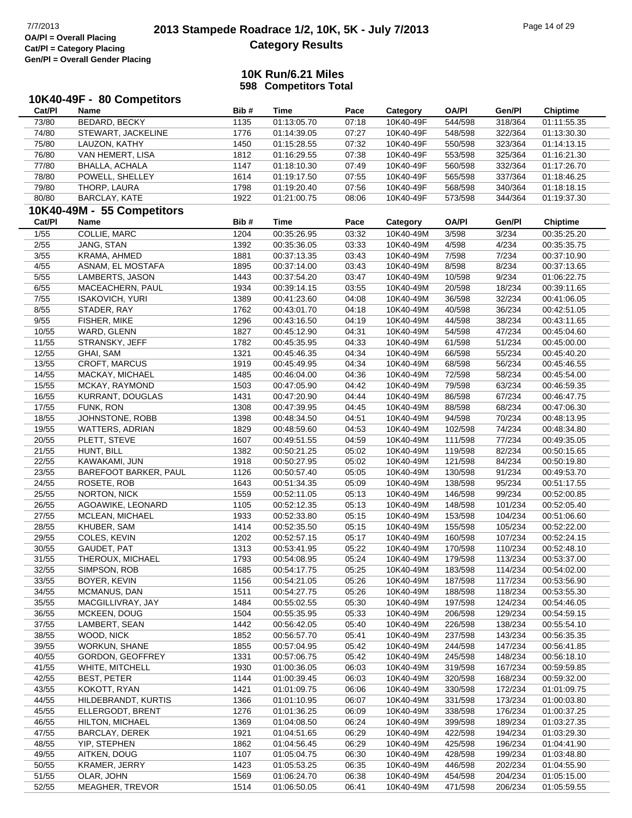### **10K Run/6.21 Miles 598 Competitors Total**

| Cat/PI         | 10K40-49F - 80 Competitors<br>Name | Bib#         | <b>Time</b>                | Pace           | Category               | <b>OA/PI</b>       | Gen/Pl             | <b>Chiptime</b>            |
|----------------|------------------------------------|--------------|----------------------------|----------------|------------------------|--------------------|--------------------|----------------------------|
| 73/80          | BEDARD, BECKY                      | 1135         | 01:13:05.70                | 07:18          | 10K40-49F              | 544/598            | 318/364            | 01:11:55.35                |
| 74/80          | STEWART, JACKELINE                 | 1776         | 01:14:39.05                | 07:27          | 10K40-49F              | 548/598            | 322/364            | 01:13:30.30                |
| 75/80          | LAUZON, KATHY                      | 1450         | 01:15:28.55                | 07:32          | 10K40-49F              | 550/598            | 323/364            | 01:14:13.15                |
| 76/80          | VAN HEMERT, LISA                   | 1812         | 01:16:29.55                | 07:38          | 10K40-49F              | 553/598            | 325/364            | 01:16:21.30                |
| 77/80          | <b>BHALLA, ACHALA</b>              | 1147         | 01:18:10.30                | 07:49          | 10K40-49F              | 560/598            | 332/364            | 01:17:26.70                |
| 78/80          | POWELL, SHELLEY                    | 1614         | 01:19:17.50                | 07:55          | 10K40-49F              | 565/598            | 337/364            | 01:18:46.25                |
| 79/80          | THORP, LAURA                       | 1798         | 01:19:20.40                | 07:56          | 10K40-49F              | 568/598            | 340/364            | 01:18:18.15                |
| 80/80          | BARCLAY, KATE                      | 1922         | 01:21:00.75                | 08:06          | 10K40-49F              | 573/598            | 344/364            | 01:19:37.30                |
|                | 10K40-49M - 55 Competitors         |              |                            |                |                        |                    |                    |                            |
| Cat/Pl         | Name                               | Bib#         | <b>Time</b>                | Pace           | Category               | <b>OA/PI</b>       | Gen/Pl             | <b>Chiptime</b>            |
| 1/55           | <b>COLLIE, MARC</b>                | 1204         | 00:35:26.95                | 03:32          | 10K40-49M              | 3/598              | 3/234              | 00:35:25.20                |
| 2/55           | JANG, STAN                         | 1392         | 00:35:36.05                | 03:33          | 10K40-49M              | 4/598              | 4/234              | 00:35:35.75                |
| 3/55           | KRAMA, AHMED                       | 1881         | 00:37:13.35                | 03:43          | 10K40-49M              | 7/598              | 7/234              | 00:37:10.90                |
| 4/55           | ASNAM, EL MOSTAFA                  | 1895         | 00:37:14.00                | 03:43          | 10K40-49M              | 8/598              | 8/234              | 00:37:13.65                |
| 5/55           | LAMBERTS, JASON                    | 1443         | 00:37:54.20                | 03:47          | 10K40-49M              | 10/598             | 9/234              | 01:06:22.75                |
| 6/55           | MACEACHERN, PAUL                   | 1934         | 00:39:14.15                | 03:55          | 10K40-49M              | 20/598             | 18/234             | 00:39:11.65                |
| 7/55           | <b>ISAKOVICH, YURI</b>             | 1389         | 00:41:23.60                | 04:08          | 10K40-49M              | 36/598             | 32/234             | 00:41:06.05                |
| 8/55           | STADER, RAY                        | 1762         | 00:43:01.70                | 04:18          | 10K40-49M              | 40/598             | 36/234             | 00:42:51.05                |
| 9/55           | FISHER, MIKE                       | 1296         | 00:43:16.50                | 04:19          | 10K40-49M              | 44/598             | 38/234             | 00:43:11.65                |
| 10/55          | WARD, GLENN                        | 1827         | 00:45:12.90                | 04:31          | 10K40-49M              | 54/598             | 47/234             | 00:45:04.60                |
| 11/55          | STRANSKY, JEFF                     | 1782         | 00:45:35.95                | 04:33          | 10K40-49M              | 61/598             | 51/234             | 00:45:00.00                |
| 12/55          | GHAI, SAM                          | 1321         | 00:45:46.35                | 04:34          | 10K40-49M              | 66/598             | 55/234             | 00:45:40.20                |
| 13/55          | <b>CROFT, MARCUS</b>               | 1919         | 00:45:49.95                | 04:34          | 10K40-49M              | 68/598             | 56/234             | 00:45:46.55                |
| 14/55          | MACKAY, MICHAEL                    | 1485         | 00:46:04.00                | 04:36          | 10K40-49M              | 72/598             | 58/234             | 00:45:54.00                |
| 15/55          | MCKAY, RAYMOND                     | 1503         | 00:47:05.90                | 04:42          | 10K40-49M              | 79/598             | 63/234             | 00:46:59.35                |
| 16/55          | KURRANT, DOUGLAS                   | 1431         | 00:47:20.90                | 04:44          | 10K40-49M              | 86/598             | 67/234             | 00:46:47.75                |
| 17/55          | FUNK, RON                          | 1308         | 00:47:39.95                | 04:45          | 10K40-49M              | 88/598             | 68/234             | 00:47:06.30                |
| 18/55          | JOHNSTONE, ROBB                    | 1398         | 00:48:34.50                | 04:51          | 10K40-49M              | 94/598             | 70/234             | 00:48:13.95                |
| 19/55          | <b>WATTERS, ADRIAN</b>             | 1829         | 00:48:59.60                | 04:53          | 10K40-49M              | 102/598            | 74/234             | 00:48:34.80                |
| 20/55          | PLETT, STEVE                       | 1607         | 00:49:51.55                | 04:59          | 10K40-49M              | 111/598            | 77/234             | 00:49:35.05                |
| 21/55          | HUNT, BILL                         | 1382         | 00:50:21.25                | 05:02          | 10K40-49M              | 119/598            | 82/234             | 00:50:15.65                |
| 22/55          | KAWAKAMI, JUN                      | 1918         | 00:50:27.95                | 05:02          | 10K40-49M              | 121/598            | 84/234             | 00:50:19.80                |
| 23/55          | <b>BAREFOOT BARKER, PAUL</b>       | 1126         | 00:50:57.40                | 05:05          | 10K40-49M              | 130/598            | 91/234             | 00:49:53.70                |
| 24/55          | ROSETE, ROB                        | 1643         | 00:51:34.35                | 05:09          | 10K40-49M              | 138/598            | 95/234             | 00:51:17.55                |
| 25/55          | <b>NORTON, NICK</b>                | 1559         | 00:52:11.05                | 05:13          | 10K40-49M              | 146/598            | 99/234             | 00:52:00.85                |
| 26/55          | AGOAWIKE, LEONARD                  | 1105         | 00:52:12.35                | 05:13          | 10K40-49M              | 148/598            | 101/234            | 00:52:05.40                |
| 27/55          | MCLEAN, MICHAEL                    | 1933         | 00:52:33.80                | 05:15          | 10K40-49M              | 153/598            | 104/234            | 00:51:06.60                |
| 28/55          | KHUBER, SAM                        | 1414         | 00:52:35.50                | 05:15          | 10K40-49M              | 155/598            | 105/234            | 00:52:22.00                |
| 29/55          | COLES, KEVIN                       | 1202         | 00:52:57.15                | 05:17          | 10K40-49M              | 160/598            | 107/234            | 00:52:24.15                |
| 30/55          | GAUDET, PAT                        | 1313         | 00:53:41.95                | 05:22          | 10K40-49M              | 170/598            | 110/234            | 00:52:48.10                |
| 31/55          | THEROUX, MICHAEL                   | 1793         | 00:54:08.95                | 05:24          | 10K40-49M              | 179/598            | 113/234            | 00:53:37.00                |
| 32/55          | SIMPSON, ROB                       | 1685         | 00:54:17.75                | 05:25          | 10K40-49M              | 183/598            | 114/234            | 00:54:02.00                |
| 33/55          | BOYER, KEVIN                       | 1156         | 00:54:21.05                | 05:26          | 10K40-49M              | 187/598            | 117/234            | 00:53:56.90                |
| 34/55          | MCMANUS, DAN                       | 1511         | 00:54:27.75                | 05:26          | 10K40-49M              | 188/598            | 118/234            | 00:53:55.30                |
| 35/55          | MACGILLIVRAY, JAY                  | 1484         | 00:55:02.55                | 05:30          | 10K40-49M              | 197/598            | 124/234            | 00:54:46.05                |
| 36/55          | MCKEEN, DOUG                       | 1504         | 00:55:35.95                | 05:33          | 10K40-49M              | 206/598            | 129/234            | 00:54:59.15                |
| 37/55          | LAMBERT, SEAN                      | 1442         | 00:56:42.05                | 05:40          | 10K40-49M              | 226/598            | 138/234            | 00:55:54.10                |
| 38/55          | WOOD, NICK                         | 1852         | 00:56:57.70                | 05:41          | 10K40-49M              | 237/598            | 143/234            | 00:56:35.35                |
| 39/55          | <b>WORKUN, SHANE</b>               | 1855         | 00:57:04.95                | 05:42          | 10K40-49M              | 244/598            | 147/234            | 00:56:41.85                |
| 40/55          | GORDON, GEOFFREY                   | 1331         | 00:57:06.75                | 05:42          | 10K40-49M              | 245/598            | 148/234            | 00:56:18.10                |
| 41/55          | WHITE, MITCHELL                    | 1930         | 01:00:36.05                | 06:03          | 10K40-49M              | 319/598            | 167/234            | 00:59:59.85                |
| 42/55          | <b>BEST, PETER</b>                 | 1144         | 01:00:39.45                | 06:03          | 10K40-49M              | 320/598            | 168/234            | 00:59:32.00                |
| 43/55          | KOKOTT, RYAN                       | 1421         | 01:01:09.75                | 06:06          | 10K40-49M              | 330/598            | 172/234            | 01:01:09.75                |
| 44/55          | HILDEBRANDT, KURTIS                | 1366         | 01:01:10.95                | 06:07          | 10K40-49M              | 331/598            | 173/234            | 01:00:03.80                |
| 45/55          | ELLERGODT, BRENT                   | 1276         | 01:01:36.25                | 06:09          | 10K40-49M              | 338/598            | 176/234            | 01:00:37.25                |
| 46/55          | <b>HILTON, MICHAEL</b>             | 1369         | 01:04:08.50                | 06:24          | 10K40-49M              | 399/598            | 189/234            | 01:03:27.35                |
| 47/55          | BARCLAY, DEREK                     | 1921         | 01:04:51.65                | 06:29          | 10K40-49M              | 422/598            | 194/234            | 01:03:29.30                |
| 48/55          | YIP, STEPHEN                       | 1862         | 01:04:56.45                | 06:29          | 10K40-49M              | 425/598            | 196/234            | 01:04:41.90                |
| 49/55          | AITKEN, DOUG                       | 1107         | 01:05:04.75                | 06:30          | 10K40-49M              | 428/598            | 199/234            | 01:03:48.80                |
| 50/55<br>51/55 | <b>KRAMER, JERRY</b><br>OLAR, JOHN | 1423<br>1569 | 01:05:53.25<br>01:06:24.70 | 06:35<br>06:38 | 10K40-49M<br>10K40-49M | 446/598<br>454/598 | 202/234<br>204/234 | 01:04:55.90                |
| 52/55          | MEAGHER, TREVOR                    | 1514         | 01:06:50.05                | 06:41          | 10K40-49M              | 471/598            | 206/234            | 01:05:15.00<br>01:05:59.55 |
|                |                                    |              |                            |                |                        |                    |                    |                            |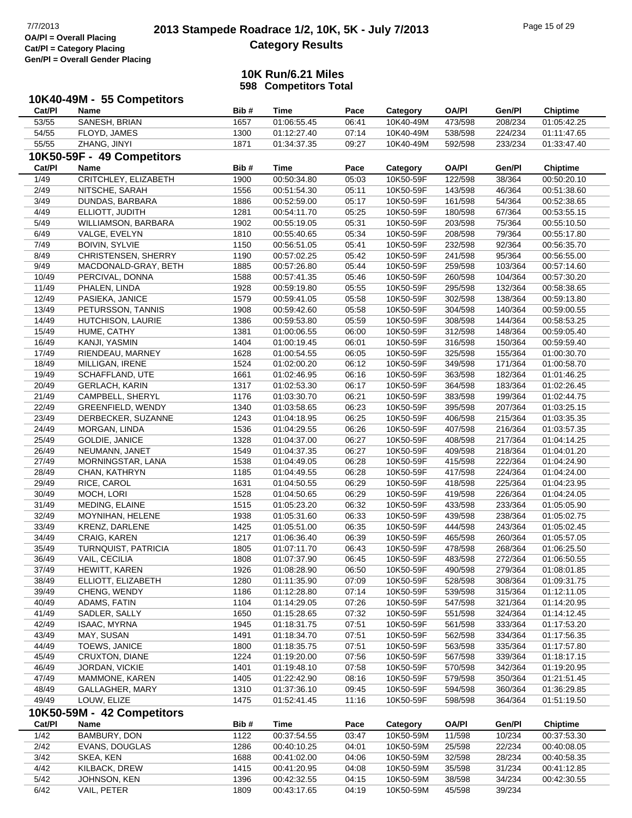#### **10K Run/6.21 Miles 598 Competitors Total**

**10K40-49M - 55 Competitors Cat/Pl Name Bib # Time Pace Category OA/Pl Gen/Pl Chiptime** 53/55 SANESH, BRIAN 1657 01:06:55.45 06:41 10K40-49M 473/598 208/234 01:05:42.25 54/55 FLOYD, JAMES 1300 01:12:27.40 07:14 10K40-49M 538/598 224/234 01:11:47.65 55/55 ZHANG, JINYI 1871 01:34:37.35 09:27 10K40-49M 592/598 233/234 01:33:47.40 **10K50-59F - 49 Competitors Cat/Pl Name Bib # Time Pace Category OA/Pl Gen/Pl Chiptime** 1/49 CRITCHLEY, ELIZABETH 1900 00:50:34.80 05:03 10K50-59F 122/598 38/364 00:50:20.10 2/49 NITSCHE, SARAH 1556 00:51:54.30 05:11 10K50-59F 143/598 46/364 00:51:38.60 3/49 DUNDAS, BARBARA 1886 00:52:59.00 05:17 10K50-59F 161/598 54/364 00:52:38.65 4/49 ELLIOTT, JUDITH 1281 00:54:11.70 05:25 10K50-59F 180/598 67/364 00:53:55.15 5/49 WILLIAMSON, BARBARA 1902 00:55:19.05 05:31 10K50-59F 203/598 75/364 00:55:10.50 6/49 VALGE, EVELYN 1810 00:55:40.65 05:34 10K50-59F 208/598 79/364 00:55:17.80 7/49 BOIVIN, SYLVIE 1150 00:56:51.05 05:41 10K50-59F 232/598 92/364 00:56:35.70 8/49 CHRISTENSEN, SHERRY 1190 00:57:02.25 05:42 10K50-59F 241/598 95/364 00:56:55.00 9/49 MACDONALD-GRAY, BETH 1885 00:57:26.80 05:44 10K50-59F 259/598 103/364 00:57:14.60 10/49 PERCIVAL, DONNA 1588 00:57:41.35 05:46 10K50-59F 260/598 104/364 00:57:30.20 11/49 PHALEN, LINDA 1928 00:59:19.80 05:55 10K50-59F 295/598 132/364 00:58:38.65 12/49 PASIEKA, JANICE 1579 00:59:41.05 05:58 10K50-59F 302/598 138/364 00:59:13.80 13/49 PETURSSON, TANNIS 1908 00:59:42.60 05:58 10K50-59F 304/598 140/364 00:59:00.55 14/49 HUTCHISON, LAURIE 1386 00:59:53.80 05:59 10K50-59F 308/598 144/364 00:58:53.25 15/49 HUME, CATHY 1381 01:00:06.55 06:00 10K50-59F 312/598 148/364 00:59:05.40 16/49 KANJI, YASMIN 1404 01:00:19.45 06:01 10K50-59F 316/598 150/364 00:59:59.40 17/49 RIENDEAU, MARNEY 1628 01:00:54.55 06:05 10K50-59F 325/598 155/364 01:00:30.70 18/49 MILLIGAN, IRENE 1524 01:02:00.20 06:12 10K50-59F 349/598 171/364 01:00:58.70 19/49 SCHAFFLAND, UTE 1661 01:02:46.95 06:16 10K50-59F 363/598 182/364 01:01:46.25 20/49 GERLACH, KARIN 1317 01:02:53.30 06:17 10K50-59F 364/598 183/364 01:02:26.45 21/49 CAMPBELL, SHERYL 1176 01:03:30.70 06:21 10K50-59F 383/598 199/364 01:02:44.75 22/49 GREENFIELD, WENDY 1340 01:03:58.65 06:23 10K50-59F 395/598 207/364 01:03:25.15 23/49 DERBECKER, SUZANNE 1243 01:04:18.95 06:25 10K50-59F 406/598 215/364 01:03:35.35 24/49 MORGAN, LINDA 1536 01:04:29.55 06:26 10K50-59F 407/598 216/364 01:03:57.35 25/49 GOLDIE, JANICE 1328 01:04:37.00 06:27 10K50-59F 408/598 217/364 01:04:14.25 26/49 NEUMANN, JANET 1549 01:04:37.35 06:27 10K50-59F 409/598 218/364 01:04:01.20 27/49 MORNINGSTAR, LANA 1538 01:04:49.05 06:28 10K50-59F 415/598 222/364 01:04:24.90 28/49 CHAN, KATHRYN 1185 01:04:49.55 06:28 10K50-59F 417/598 224/364 01:04:24.00 29/49 RICE, CAROL 1631 01:04:50.55 06:29 10K50-59F 418/598 225/364 01:04:23.95 30/49 MOCH, LORI 1528 01:04:50.65 06:29 10K50-59F 419/598 226/364 01:04:24.05 31/49 MEDING, ELAINE 1515 01:05:23.20 06:32 10K50-59F 433/598 233/364 01:05:05.90 32/49 MOYNIHAN, HELENE 1938 01:05:31.60 06:33 10K50-59F 439/598 238/364 01:05:02.75 33/49 KRENZ, DARLENE 1425 01:05:51.00 06:35 10K50-59F 444/598 243/364 01:05:02.45 34/49 CRAIG, KAREN 1217 01:06:36.40 06:39 10K50-59F 465/598 260/364 01:05:57.05 35/49 TURNQUIST, PATRICIA 1805 01:07:11.70 06:43 10K50-59F 478/598 268/364 01:06:25.50 36/49 VAIL, CECILIA 1808 01:07:37.90 06:45 10K50-59F 483/598 272/364 01:06:50.55 37/49 HEWITT, KAREN 1926 01:08:28.90 06:50 10K50-59F 490/598 279/364 01:08:01.85 38/49 ELLIOTT, ELIZABETH 1280 01:11:35.90 07:09 10K50-59F 528/598 308/364 01:09:31.75 39/49 CHENG, WENDY 1186 01:12:28.80 07:14 10K50-59F 539/598 315/364 01:12:11.05 40/49 ADAMS, FATIN 1104 01:14:29.05 07:26 10K50-59F 547/598 321/364 01:14:20.95 41/49 SADLER, SALLY 1650 01:15:28.65 07:32 10K50-59F 551/598 324/364 01:14:12.45 42/49 ISAAC, MYRNA 1945 01:18:31.75 07:51 10K50-59F 561/598 333/364 01:17:53.20 43/49 MAY, SUSAN 1491 01:18:34.70 07:51 10K50-59F 562/598 334/364 01:17:56.35 44/49 TOEWS, JANICE 1800 01:18:35.75 07:51 10K50-59F 563/598 335/364 01:17:57.80 45/49 CRUXTON, DIANE 1224 01:19:20.00 07:56 10K50-59F 567/598 339/364 01:18:17.15 46/49 JORDAN, VICKIE 1401 01:19:48.10 07:58 10K50-59F 570/598 342/364 01:19:20.95 47/49 MAMMONE, KAREN 1405 01:22:42.90 08:16 10K50-59F 579/598 350/364 01:21:51.45 48/49 GALLAGHER, MARY 1310 01:37:36.10 09:45 10K50-59F 594/598 360/364 01:36:29.85 49/49 LOUW, ELIZE 1475 01:52:41.45 11:16 10K50-59F 598/598 364/364 01:51:19.50 **10K50-59M - 42 Competitors Cat/Pl Name Bib # Time Pace Category OA/Pl Gen/Pl Chiptime** 1/42 BAMBURY, DON 1122 00:37:54.55 03:47 10K50-59M 11/598 10/234 00:37:53.30 2/42 EVANS, DOUGLAS 1286 00:40:10.25 04:01 10K50-59M 25/598 22/234 00:40:08.05 3/42 SKEA, KEN 1688 00:41:02.00 04:06 10K50-59M 32/598 28/234 00:40:58.35 4/42 KILBACK, DREW 1415 00:41:20.95 04:08 10K50-59M 35/598 31/234 00:41:12.85 5/42 JOHNSON, KEN 1396 00:42:32.55 04:15 10K50-59M 38/598 34/234 00:42:30.55

6/42 VAIL, PETER 1809 00:43:17.65 04:19 10K50-59M 45/598 39/234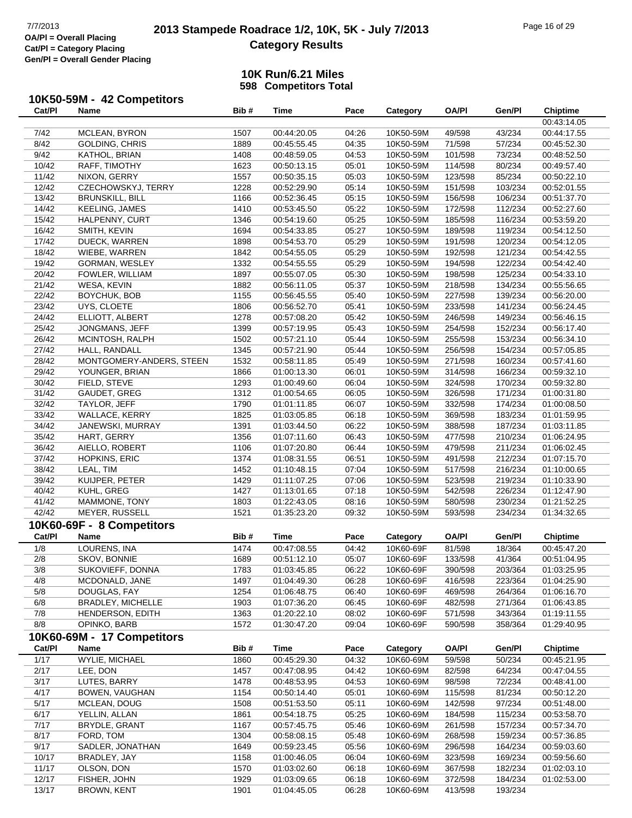# **2013 Stampede Roadrace 1/2, 10K, 5K - July 7/2013** Page 16 of 29<br> **OA/PI** = Overall Placing 2013 Stampede Roadrace 1/2, 10K, 5K - July 7/2013 **Category Results**

### **10K Run/6.21 Miles 598 Competitors Total**

## **10K50-59M - 42 Competitors**

| Cat/PI | Name                       | Bib# | Time        | Pace  | Category  | <b>OA/PI</b> | Gen/Pl  | <b>Chiptime</b> |
|--------|----------------------------|------|-------------|-------|-----------|--------------|---------|-----------------|
|        |                            |      |             |       |           |              |         | 00:43:14.05     |
| 7/42   | MCLEAN, BYRON              | 1507 | 00:44:20.05 | 04:26 | 10K50-59M | 49/598       | 43/234  | 00:44:17.55     |
| 8/42   | GOLDING, CHRIS             | 1889 | 00:45:55.45 | 04:35 | 10K50-59M | 71/598       | 57/234  | 00:45:52.30     |
| 9/42   | KATHOL, BRIAN              | 1408 | 00:48:59.05 | 04:53 | 10K50-59M | 101/598      | 73/234  | 00:48:52.50     |
| 10/42  | RAFF, TIMOTHY              | 1623 | 00:50:13.15 | 05:01 | 10K50-59M | 114/598      | 80/234  | 00:49:57.40     |
| 11/42  | NIXON, GERRY               | 1557 | 00:50:35.15 | 05:03 | 10K50-59M | 123/598      | 85/234  | 00:50:22.10     |
| 12/42  | CZECHOWSKYJ, TERRY         | 1228 | 00:52:29.90 | 05:14 | 10K50-59M | 151/598      | 103/234 | 00:52:01.55     |
| 13/42  | <b>BRUNSKILL, BILL</b>     | 1166 | 00:52:36.45 | 05:15 | 10K50-59M | 156/598      | 106/234 | 00:51:37.70     |
| 14/42  | KEELING, JAMES             | 1410 | 00:53:45.50 | 05:22 | 10K50-59M | 172/598      | 112/234 | 00:52:27.60     |
| 15/42  | HALPENNY, CURT             | 1346 | 00:54:19.60 | 05:25 | 10K50-59M | 185/598      | 116/234 | 00:53:59.20     |
| 16/42  | SMITH, KEVIN               | 1694 | 00:54:33.85 | 05:27 | 10K50-59M | 189/598      | 119/234 | 00:54:12.50     |
| 17/42  | DUECK, WARREN              | 1898 | 00:54:53.70 | 05:29 | 10K50-59M | 191/598      | 120/234 | 00:54:12.05     |
| 18/42  | WIEBE, WARREN              | 1842 | 00:54:55.05 | 05:29 | 10K50-59M | 192/598      | 121/234 | 00:54:42.55     |
| 19/42  | GORMAN, WESLEY             | 1332 | 00:54:55.55 | 05:29 | 10K50-59M | 194/598      | 122/234 | 00:54:42.40     |
| 20/42  | FOWLER, WILLIAM            | 1897 | 00:55:07.05 | 05:30 | 10K50-59M | 198/598      | 125/234 | 00:54:33.10     |
| 21/42  | WESA, KEVIN                | 1882 | 00:56:11.05 | 05:37 | 10K50-59M | 218/598      | 134/234 | 00:55:56.65     |
|        |                            |      |             |       |           |              |         |                 |
| 22/42  | BOYCHUK, BOB               | 1155 | 00:56:45.55 | 05:40 | 10K50-59M | 227/598      | 139/234 | 00:56:20.00     |
| 23/42  | UYS, CLOETE                | 1806 | 00:56:52.70 | 05:41 | 10K50-59M | 233/598      | 141/234 | 00:56:24.45     |
| 24/42  | ELLIOTT, ALBERT            | 1278 | 00:57:08.20 | 05:42 | 10K50-59M | 246/598      | 149/234 | 00:56:46.15     |
| 25/42  | JONGMANS, JEFF             | 1399 | 00:57:19.95 | 05:43 | 10K50-59M | 254/598      | 152/234 | 00:56:17.40     |
| 26/42  | MCINTOSH, RALPH            | 1502 | 00:57:21.10 | 05:44 | 10K50-59M | 255/598      | 153/234 | 00:56:34.10     |
| 27/42  | HALL, RANDALL              | 1345 | 00:57:21.90 | 05:44 | 10K50-59M | 256/598      | 154/234 | 00:57:05.85     |
| 28/42  | MONTGOMERY-ANDERS, STEEN   | 1532 | 00:58:11.85 | 05:49 | 10K50-59M | 271/598      | 160/234 | 00:57:41.60     |
| 29/42  | YOUNGER, BRIAN             | 1866 | 01:00:13.30 | 06:01 | 10K50-59M | 314/598      | 166/234 | 00:59:32.10     |
| 30/42  | FIELD, STEVE               | 1293 | 01:00:49.60 | 06:04 | 10K50-59M | 324/598      | 170/234 | 00:59:32.80     |
| 31/42  | GAUDET, GREG               | 1312 | 01:00:54.65 | 06:05 | 10K50-59M | 326/598      | 171/234 | 01:00:31.80     |
| 32/42  | TAYLOR, JEFF               | 1790 | 01:01:11.85 | 06:07 | 10K50-59M | 332/598      | 174/234 | 01:00:08.50     |
| 33/42  | WALLACE, KERRY             | 1825 | 01:03:05.85 | 06:18 | 10K50-59M | 369/598      | 183/234 | 01:01:59.95     |
| 34/42  | JANEWSKI, MURRAY           | 1391 | 01:03:44.50 | 06:22 | 10K50-59M | 388/598      | 187/234 | 01:03:11.85     |
| 35/42  | HART, GERRY                | 1356 | 01:07:11.60 | 06:43 | 10K50-59M | 477/598      | 210/234 | 01:06:24.95     |
| 36/42  | AIELLO, ROBERT             | 1106 | 01:07:20.80 | 06:44 | 10K50-59M | 479/598      | 211/234 | 01:06:02.45     |
| 37/42  | HOPKINS, ERIC              | 1374 | 01:08:31.55 | 06:51 | 10K50-59M | 491/598      | 212/234 | 01:07:15.70     |
| 38/42  | LEAL, TIM                  | 1452 | 01:10:48.15 | 07:04 | 10K50-59M | 517/598      | 216/234 | 01:10:00.65     |
| 39/42  | KUIJPER, PETER             | 1429 | 01:11:07.25 | 07:06 | 10K50-59M | 523/598      | 219/234 | 01:10:33.90     |
| 40/42  | KUHL, GREG                 | 1427 | 01:13:01.65 | 07:18 | 10K50-59M | 542/598      | 226/234 | 01:12:47.90     |
| 41/42  | MAMMONE, TONY              | 1803 | 01:22:43.05 | 08:16 | 10K50-59M | 580/598      | 230/234 | 01:21:52.25     |
| 42/42  | <b>MEYER, RUSSELL</b>      | 1521 | 01:35:23.20 | 09:32 | 10K50-59M | 593/598      | 234/234 | 01:34:32.65     |
|        | 10K60-69F - 8 Competitors  |      |             |       |           |              |         |                 |
| Cat/PI | Name                       | Bib# | <b>Time</b> | Pace  | Category  | <b>OA/PI</b> | Gen/Pl  | <b>Chiptime</b> |
| 1/8    | <b>LOURENS, INA</b>        | 1474 | 00:47:08.55 | 04:42 | 10K60-69F | 81/598       | 18/364  | 00:45:47.20     |
| 2/8    | SKOV, BONNIE               | 1689 | 00:51:12.10 | 05:07 | 10K60-69F | 133/598      | 41/364  | 00:51:04.95     |
| 3/8    | SUKOVIEFF, DONNA           | 1783 | 01:03:45.85 | 06:22 | 10K60-69F | 390/598      | 203/364 | 01:03:25.95     |
| 4/8    | MCDONALD, JANE             | 1497 | 01:04:49.30 | 06:28 | 10K60-69F | 416/598      | 223/364 | 01:04:25.90     |
| 5/8    | DOUGLAS, FAY               | 1254 | 01:06:48.75 | 06:40 | 10K60-69F | 469/598      | 264/364 | 01:06:16.70     |
| 6/8    | BRADLEY, MICHELLE          | 1903 | 01:07:36.20 | 06:45 | 10K60-69F | 482/598      | 271/364 | 01:06:43.85     |
| 7/8    | HENDERSON, EDITH           | 1363 | 01:20:22.10 | 08:02 | 10K60-69F | 571/598      | 343/364 | 01:19:11.55     |
| 8/8    | OPINKO, BARB               | 1572 | 01:30:47.20 | 09:04 | 10K60-69F | 590/598      | 358/364 | 01:29:40.95     |
|        | 10K60-69M - 17 Competitors |      |             |       |           |              |         |                 |
| Cat/PI | Name                       | Bib# | <b>Time</b> | Pace  | Category  | <b>OA/PI</b> | Gen/Pl  | <b>Chiptime</b> |
| 1/17   | WYLIE, MICHAEL             | 1860 | 00:45:29.30 | 04:32 | 10K60-69M | 59/598       | 50/234  | 00:45:21.95     |
| 2/17   | LEE, DON                   | 1457 | 00:47:08.95 | 04:42 | 10K60-69M | 82/598       | 64/234  | 00:47:04.55     |
| 3/17   | LUTES, BARRY               | 1478 | 00:48:53.95 | 04:53 | 10K60-69M | 98/598       | 72/234  | 00:48:41.00     |
|        |                            |      |             |       |           |              |         |                 |
| 4/17   | BOWEN, VAUGHAN             | 1154 | 00:50:14.40 | 05:01 | 10K60-69M | 115/598      | 81/234  | 00:50:12.20     |
| 5/17   | MCLEAN, DOUG               | 1508 | 00:51:53.50 | 05:11 | 10K60-69M | 142/598      | 97/234  | 00:51:48.00     |
| 6/17   | YELLIN, ALLAN              | 1861 | 00:54:18.75 | 05:25 | 10K60-69M | 184/598      | 115/234 | 00:53:58.70     |
| 7/17   | BRYDLE, GRANT              | 1167 | 00:57:45.75 | 05:46 | 10K60-69M | 261/598      | 157/234 | 00:57:34.70     |
| 8/17   | FORD, TOM                  | 1304 | 00:58:08.15 | 05:48 | 10K60-69M | 268/598      | 159/234 | 00:57:36.85     |
| 9/17   | SADLER, JONATHAN           | 1649 | 00:59:23.45 | 05:56 | 10K60-69M | 296/598      | 164/234 | 00:59:03.60     |
| 10/17  | BRADLEY, JAY               | 1158 | 01:00:46.05 | 06:04 | 10K60-69M | 323/598      | 169/234 | 00:59:56.60     |
| 11/17  | OLSON, DON                 | 1570 | 01:03:02.60 | 06:18 | 10K60-69M | 367/598      | 182/234 | 01:02:03.10     |
| 12/17  | FISHER, JOHN               | 1929 | 01:03:09.65 | 06:18 | 10K60-69M | 372/598      | 184/234 | 01:02:53.00     |
| 13/17  | BROWN, KENT                | 1901 | 01:04:45.05 | 06:28 | 10K60-69M | 413/598      | 193/234 |                 |